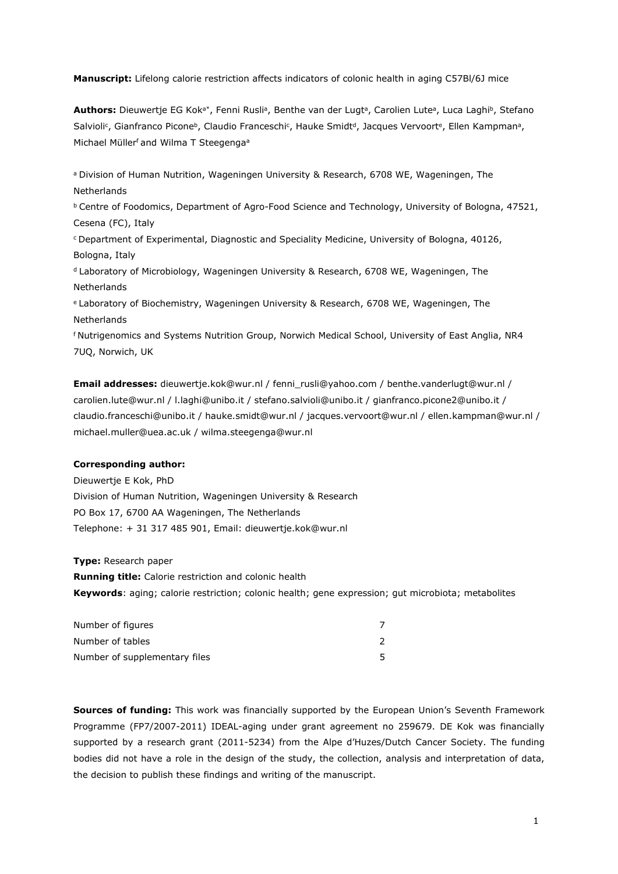**Manuscript:** Lifelong calorie restriction affects indicators of colonic health in aging C57Bl/6J mice

**Authors:** Dieuwertje EG Kok<sup>a\*</sup>, Fenni Rusliª, Benthe van der Lugtª, Carolien Luteª, Luca Laghiʰ, Stefano Salvioli<sup>c</sup>, Gianfranco Picone<sup>b</sup>, Claudio Franceschi<sup>c</sup>, Hauke Smidt<sup>a</sup>, Jacques Vervoort<sup>e</sup>, Ellen Kampman<sup>a</sup>, Michael Müllerf and Wilma T Steegenga<sup>a</sup>

a Division of Human Nutrition, Wageningen University & Research, 6708 WE, Wageningen, The Netherlands

**b Centre of Foodomics, Department of Agro-Food Science and Technology, University of Bologna, 47521,** Cesena (FC), Italy

<sup>c</sup>Department of Experimental, Diagnostic and Speciality Medicine, University of Bologna, 40126, Bologna, Italy

<sup>d</sup> Laboratory of Microbiology, Wageningen University & Research, 6708 WE, Wageningen, The Netherlands

<sup>e</sup>Laboratory of Biochemistry, Wageningen University & Research, 6708 WE, Wageningen, The **Netherlands** 

f Nutrigenomics and Systems Nutrition Group, Norwich Medical School, University of East Anglia, NR4 7UQ, Norwich, UK

**Email addresses:** [dieuwertje.kok@wur.nl](mailto:dieuwertje.kok@wur.nl) / [fenni\\_rusli@yahoo.com /](mailto:fenni_rusli@yahoo.com) [benthe.vanderlugt@wur.nl /](mailto:benthe.vanderlugt@wur.nl) [carolien.lute@wur.nl /](mailto:carolien.lute@wur.nl) [l.laghi@unibo.it /](mailto:l.laghi@unibo.it) [stefano.salvioli@unibo.it /](mailto:stefano.salvioli@unibo.it) [gianfranco.picone2@unibo.it /](mailto:gianfranco.picone2@unibo.it) [claudio.franceschi@unibo.it /](mailto:claudio.franceschi@unibo.it) [hauke.smidt@wur.nl /](mailto:hauke.smidt@wur.nl) [jacques.vervoort@wur.nl /](mailto:jacques.vervoort@wur.nl) [ellen.kampman@wur.nl /](mailto:ellen.kampman@wur.nl) [michael.muller@uea.ac.uk /](mailto:michael.muller@uea.ac.uk) [wilma.steegenga@wur.nl](mailto:wilma.steegenga@wur.nl)

# **Corresponding author:**

Dieuwertje E Kok, PhD Division of Human Nutrition, Wageningen University & Research PO Box 17, 6700 AA Wageningen, The Netherlands Telephone: + 31 317 485 901, Ema[il: dieuwertje.kok@wur.nl](mailto:dieuwertje.kok@wur.nl)

**Type:** Research paper

**Running title:** Calorie restriction and colonic health **Keywords**: aging; calorie restriction; colonic health; gene expression; gut microbiota; metabolites

| Number of figures             |  |
|-------------------------------|--|
| Number of tables              |  |
| Number of supplementary files |  |

**Sources of funding:** This work was financially supported by the European Union's Seventh Framework Programme (FP7/2007-2011) IDEAL-aging under grant agreement no 259679. DE Kok was financially supported by a research grant (2011-5234) from the Alpe d'Huzes/Dutch Cancer Society. The funding bodies did not have a role in the design of the study, the collection, analysis and interpretation of data, the decision to publish these findings and writing of the manuscript.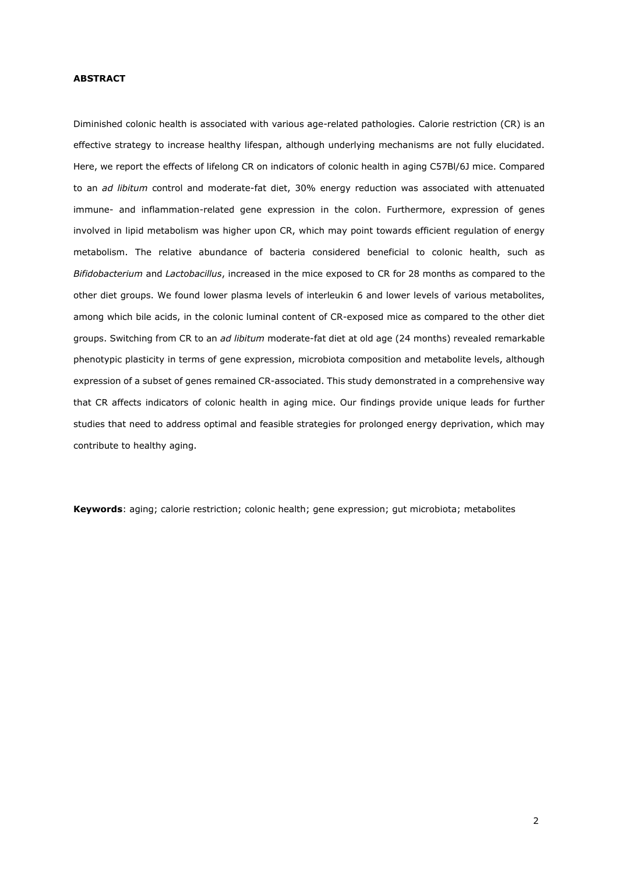# **ABSTRACT**

Diminished colonic health is associated with various age-related pathologies. Calorie restriction (CR) is an effective strategy to increase healthy lifespan, although underlying mechanisms are not fully elucidated. Here, we report the effects of lifelong CR on indicators of colonic health in aging C57Bl/6J mice. Compared to an *ad libitum* control and moderate-fat diet, 30% energy reduction was associated with attenuated immune- and inflammation-related gene expression in the colon. Furthermore, expression of genes involved in lipid metabolism was higher upon CR, which may point towards efficient regulation of energy metabolism. The relative abundance of bacteria considered beneficial to colonic health, such as *Bifidobacterium* and *Lactobacillus*, increased in the mice exposed to CR for 28 months as compared to the other diet groups. We found lower plasma levels of interleukin 6 and lower levels of various metabolites, among which bile acids, in the colonic luminal content of CR-exposed mice as compared to the other diet groups. Switching from CR to an *ad libitum* moderate-fat diet at old age (24 months) revealed remarkable phenotypic plasticity in terms of gene expression, microbiota composition and metabolite levels, although expression of a subset of genes remained CR-associated. This study demonstrated in a comprehensive way that CR affects indicators of colonic health in aging mice. Our findings provide unique leads for further studies that need to address optimal and feasible strategies for prolonged energy deprivation, which may contribute to healthy aging.

**Keywords**: aging; calorie restriction; colonic health; gene expression; gut microbiota; metabolites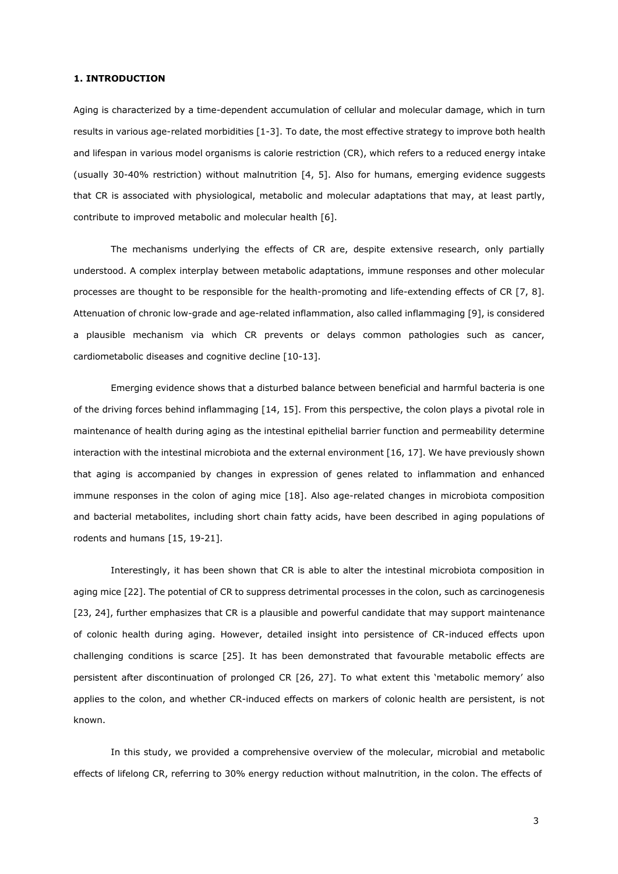# **1. INTRODUCTION**

Aging is characterized by a time-dependent accumulation of cellular and molecular damage, which in turn results in various age-related morbidities [1-3]. To date, the most effective strategy to improve both health and lifespan in various model organisms is calorie restriction (CR), which refers to a reduced energy intake (usually 30-40% restriction) without malnutrition [4, 5]. Also for humans, emerging evidence suggests that CR is associated with physiological, metabolic and molecular adaptations that may, at least partly, contribute to improved metabolic and molecular health [6].

The mechanisms underlying the effects of CR are, despite extensive research, only partially understood. A complex interplay between metabolic adaptations, immune responses and other molecular processes are thought to be responsible for the health-promoting and life-extending effects of CR [7, 8]. Attenuation of chronic low-grade and age-related inflammation, also called inflammaging [9], is considered a plausible mechanism via which CR prevents or delays common pathologies such as cancer, cardiometabolic diseases and cognitive decline [10-13].

Emerging evidence shows that a disturbed balance between beneficial and harmful bacteria is one of the driving forces behind inflammaging [14, 15]. From this perspective, the colon plays a pivotal role in maintenance of health during aging as the intestinal epithelial barrier function and permeability determine interaction with the intestinal microbiota and the external environment [16, 17]. We have previously shown that aging is accompanied by changes in expression of genes related to inflammation and enhanced immune responses in the colon of aging mice [18]. Also age-related changes in microbiota composition and bacterial metabolites, including short chain fatty acids, have been described in aging populations of rodents and humans [15, 19-21].

Interestingly, it has been shown that CR is able to alter the intestinal microbiota composition in aging mice [22]. The potential of CR to suppress detrimental processes in the colon, such as carcinogenesis [23, 24], further emphasizes that CR is a plausible and powerful candidate that may support maintenance of colonic health during aging. However, detailed insight into persistence of CR-induced effects upon challenging conditions is scarce [25]. It has been demonstrated that favourable metabolic effects are persistent after discontinuation of prolonged CR [26, 27]. To what extent this 'metabolic memory' also applies to the colon, and whether CR-induced effects on markers of colonic health are persistent, is not known.

In this study, we provided a comprehensive overview of the molecular, microbial and metabolic effects of lifelong CR, referring to 30% energy reduction without malnutrition, in the colon. The effects of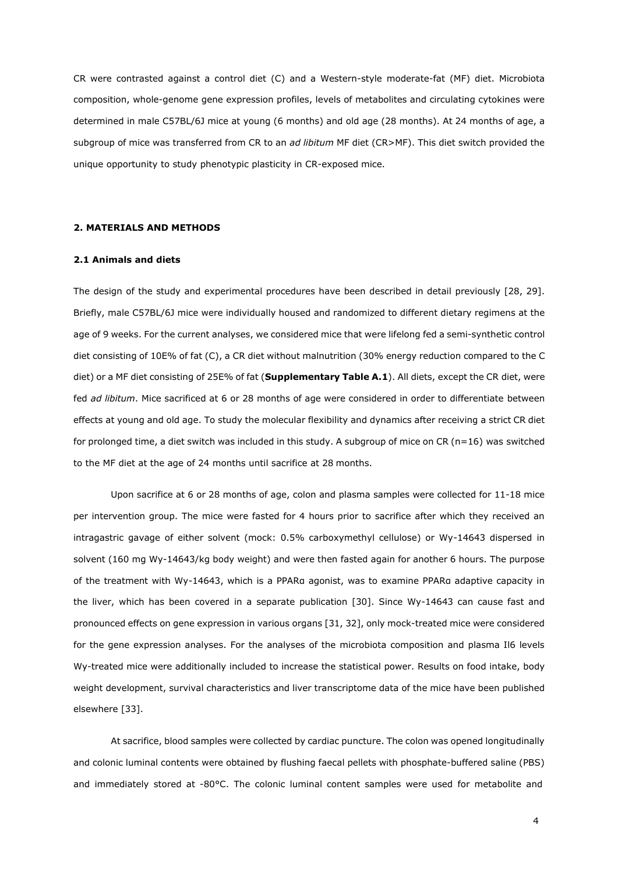CR were contrasted against a control diet (C) and a Western-style moderate-fat (MF) diet. Microbiota composition, whole-genome gene expression profiles, levels of metabolites and circulating cytokines were determined in male C57BL/6J mice at young (6 months) and old age (28 months). At 24 months of age, a subgroup of mice was transferred from CR to an *ad libitum* MF diet (CR>MF). This diet switch provided the unique opportunity to study phenotypic plasticity in CR-exposed mice.

#### **2. MATERIALS AND METHODS**

# **2.1 Animals and diets**

The design of the study and experimental procedures have been described in detail previously [28, 29]. Briefly, male C57BL/6J mice were individually housed and randomized to different dietary regimens at the age of 9 weeks. For the current analyses, we considered mice that were lifelong fed a semi-synthetic control diet consisting of 10E% of fat (C), a CR diet without malnutrition (30% energy reduction compared to the C diet) or a MF diet consisting of 25E% of fat (**Supplementary Table A.1**). All diets, except the CR diet, were fed *ad libitum*. Mice sacrificed at 6 or 28 months of age were considered in order to differentiate between effects at young and old age. To study the molecular flexibility and dynamics after receiving a strict CR diet for prolonged time, a diet switch was included in this study. A subgroup of mice on CR ( $n=16$ ) was switched to the MF diet at the age of 24 months until sacrifice at 28 months.

Upon sacrifice at 6 or 28 months of age, colon and plasma samples were collected for 11-18 mice per intervention group. The mice were fasted for 4 hours prior to sacrifice after which they received an intragastric gavage of either solvent (mock: 0.5% carboxymethyl cellulose) or Wy-14643 dispersed in solvent (160 mg Wy-14643/kg body weight) and were then fasted again for another 6 hours. The purpose of the treatment with Wy-14643, which is a PPARα agonist, was to examine PPARα adaptive capacity in the liver, which has been covered in a separate publication [30]. Since Wy-14643 can cause fast and pronounced effects on gene expression in various organs [31, 32], only mock-treated mice were considered for the gene expression analyses. For the analyses of the microbiota composition and plasma Il6 levels Wy-treated mice were additionally included to increase the statistical power. Results on food intake, body weight development, survival characteristics and liver transcriptome data of the mice have been published elsewhere [33].

At sacrifice, blood samples were collected by cardiac puncture. The colon was opened longitudinally and colonic luminal contents were obtained by flushing faecal pellets with phosphate-buffered saline (PBS) and immediately stored at -80°C. The colonic luminal content samples were used for metabolite and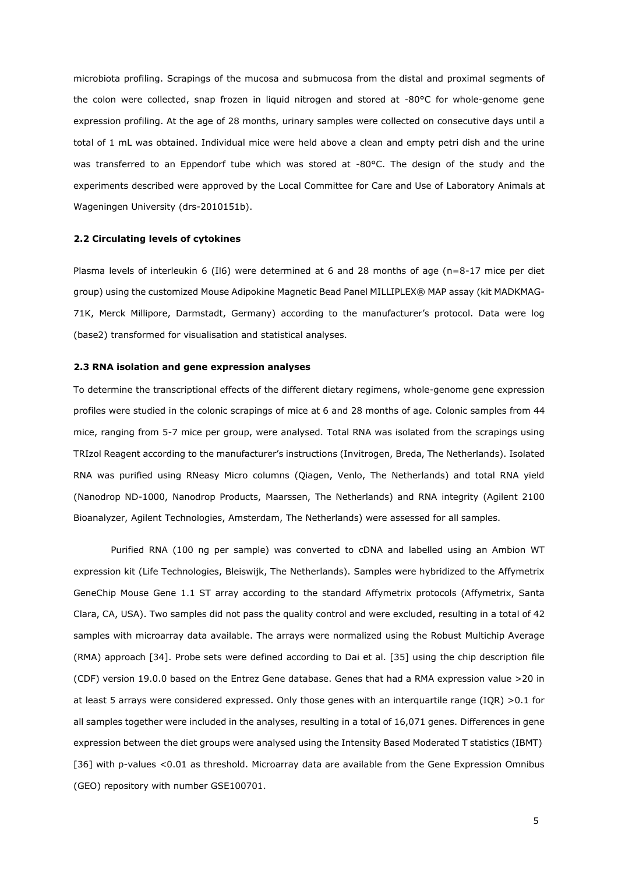microbiota profiling. Scrapings of the mucosa and submucosa from the distal and proximal segments of the colon were collected, snap frozen in liquid nitrogen and stored at -80°C for whole-genome gene expression profiling. At the age of 28 months, urinary samples were collected on consecutive days until a total of 1 mL was obtained. Individual mice were held above a clean and empty petri dish and the urine was transferred to an Eppendorf tube which was stored at -80°C. The design of the study and the experiments described were approved by the Local Committee for Care and Use of Laboratory Animals at Wageningen University (drs-2010151b).

# **2.2 Circulating levels of cytokines**

Plasma levels of interleukin 6 (Il6) were determined at 6 and 28 months of age (n=8-17 mice per diet group) using the customized Mouse Adipokine Magnetic Bead Panel MILLIPLEX® MAP assay (kit MADKMAG-71K, Merck Millipore, Darmstadt, Germany) according to the manufacturer's protocol. Data were log (base2) transformed for visualisation and statistical analyses.

#### **2.3 RNA isolation and gene expression analyses**

To determine the transcriptional effects of the different dietary regimens, whole-genome gene expression profiles were studied in the colonic scrapings of mice at 6 and 28 months of age. Colonic samples from 44 mice, ranging from 5-7 mice per group, were analysed. Total RNA was isolated from the scrapings using TRIzol Reagent according to the manufacturer's instructions (Invitrogen, Breda, The Netherlands). Isolated RNA was purified using RNeasy Micro columns (Qiagen, Venlo, The Netherlands) and total RNA yield (Nanodrop ND-1000, Nanodrop Products, Maarssen, The Netherlands) and RNA integrity (Agilent 2100 Bioanalyzer, Agilent Technologies, Amsterdam, The Netherlands) were assessed for all samples.

Purified RNA (100 ng per sample) was converted to cDNA and labelled using an Ambion WT expression kit (Life Technologies, Bleiswijk, The Netherlands). Samples were hybridized to the Affymetrix GeneChip Mouse Gene 1.1 ST array according to the standard Affymetrix protocols (Affymetrix, Santa Clara, CA, USA). Two samples did not pass the quality control and were excluded, resulting in a total of 42 samples with microarray data available. The arrays were normalized using the Robust Multichip Average (RMA) approach [34]. Probe sets were defined according to Dai et al. [35] using the chip description file (CDF) version 19.0.0 based on the Entrez Gene database. Genes that had a RMA expression value >20 in at least 5 arrays were considered expressed. Only those genes with an interquartile range (IQR) >0.1 for all samples together were included in the analyses, resulting in a total of 16,071 genes. Differences in gene expression between the diet groups were analysed using the Intensity Based Moderated T statistics (IBMT) [36] with p-values <0.01 as threshold. Microarray data are available from the Gene Expression Omnibus (GEO) repository with number GSE100701.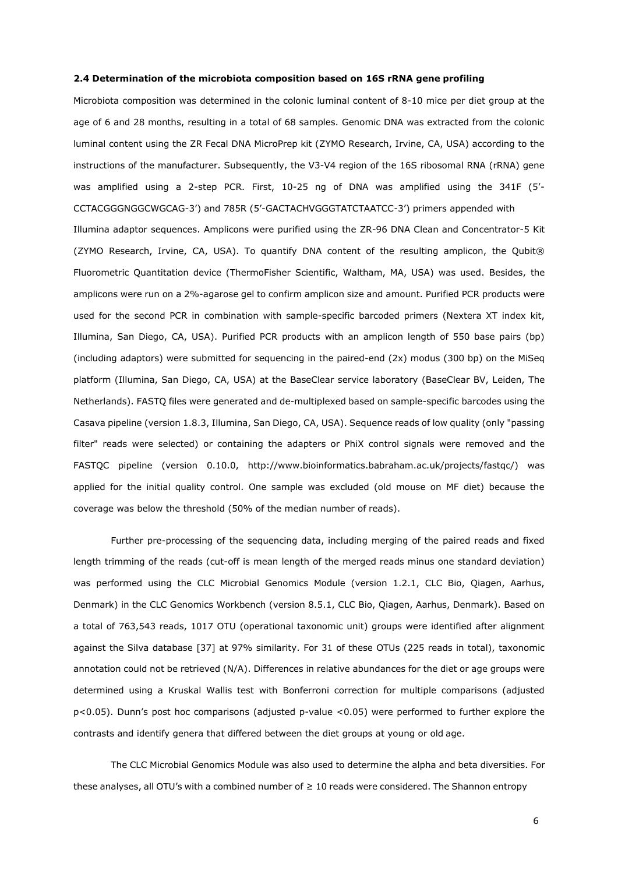#### **2.4 Determination of the microbiota composition based on 16S rRNA gene profiling**

Microbiota composition was determined in the colonic luminal content of 8-10 mice per diet group at the age of 6 and 28 months, resulting in a total of 68 samples. Genomic DNA was extracted from the colonic luminal content using the ZR Fecal DNA MicroPrep kit (ZYMO Research, Irvine, CA, USA) according to the instructions of the manufacturer. Subsequently, the V3-V4 region of the 16S ribosomal RNA (rRNA) gene was amplified using a 2-step PCR. First, 10-25 ng of DNA was amplified using the 341F (5'- CCTACGGGNGGCWGCAG-3') and 785R (5'-GACTACHVGGGTATCTAATCC-3') primers appended with Illumina adaptor sequences. Amplicons were purified using the ZR-96 DNA Clean and Concentrator-5 Kit (ZYMO Research, Irvine, CA, USA). To quantify DNA content of the resulting amplicon, the Qubit® Fluorometric Quantitation device (ThermoFisher Scientific, Waltham, MA, USA) was used. Besides, the amplicons were run on a 2%-agarose gel to confirm amplicon size and amount. Purified PCR products were used for the second PCR in combination with sample-specific barcoded primers (Nextera XT index kit, Illumina, San Diego, CA, USA). Purified PCR products with an amplicon length of 550 base pairs (bp) (including adaptors) were submitted for sequencing in the paired-end (2x) modus (300 bp) on the MiSeq platform (Illumina, San Diego, CA, USA) at the BaseClear service laboratory (BaseClear BV, Leiden, The Netherlands). FASTQ files were generated and de-multiplexed based on sample-specific barcodes using the Casava pipeline (version 1.8.3, Illumina, San Diego, CA, USA). Sequence reads of low quality (only "passing filter" reads were selected) or containing the adapters or PhiX control signals were removed and the FASTQC pipeline (version 0.10.0, [http://www.bioinformatics.babraham.ac.uk/projects/fastqc/\)](http://www.bioinformatics.babraham.ac.uk/projects/fastqc/) was applied for the initial quality control. One sample was excluded (old mouse on MF diet) because the coverage was below the threshold (50% of the median number of reads).

Further pre-processing of the sequencing data, including merging of the paired reads and fixed length trimming of the reads (cut-off is mean length of the merged reads minus one standard deviation) was performed using the CLC Microbial Genomics Module (version 1.2.1, CLC Bio, Qiagen, Aarhus, Denmark) in the CLC Genomics Workbench (version 8.5.1, CLC Bio, Qiagen, Aarhus, Denmark). Based on a total of 763,543 reads, 1017 OTU (operational taxonomic unit) groups were identified after alignment against the Silva database [37] at 97% similarity. For 31 of these OTUs (225 reads in total), taxonomic annotation could not be retrieved (N/A). Differences in relative abundances for the diet or age groups were determined using a Kruskal Wallis test with Bonferroni correction for multiple comparisons (adjusted p<0.05). Dunn's post hoc comparisons (adjusted p-value <0.05) were performed to further explore the contrasts and identify genera that differed between the diet groups at young or old age.

The CLC Microbial Genomics Module was also used to determine the alpha and beta diversities. For these analyses, all OTU's with a combined number of ≥ 10 reads were considered. The Shannon entropy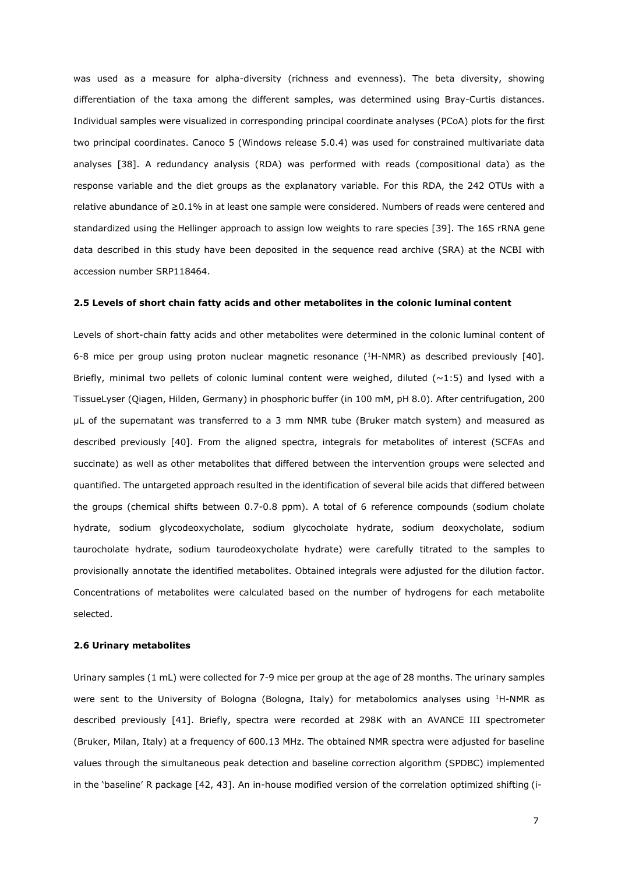was used as a measure for alpha-diversity (richness and evenness). The beta diversity, showing differentiation of the taxa among the different samples, was determined using Bray-Curtis distances. Individual samples were visualized in corresponding principal coordinate analyses (PCoA) plots for the first two principal coordinates. Canoco 5 (Windows release 5.0.4) was used for constrained multivariate data analyses [38]. A redundancy analysis (RDA) was performed with reads (compositional data) as the response variable and the diet groups as the explanatory variable. For this RDA, the 242 OTUs with a relative abundance of ≥0.1% in at least one sample were considered. Numbers of reads were centered and standardized using the Hellinger approach to assign low weights to rare species [39]. The 16S rRNA gene data described in this study have been deposited in the sequence read archive (SRA) at the NCBI with accession number SRP118464.

# **2.5 Levels of short chain fatty acids and other metabolites in the colonic luminal content**

Levels of short-chain fatty acids and other metabolites were determined in the colonic luminal content of 6-8 mice per group using proton nuclear magnetic resonance (<sup>1</sup>H-NMR) as described previously [40]. Briefly, minimal two pellets of colonic luminal content were weighed, diluted  $(\sim 1:5)$  and lysed with a TissueLyser (Qiagen, Hilden, Germany) in phosphoric buffer (in 100 mM, pH 8.0). After centrifugation, 200 μL of the supernatant was transferred to a 3 mm NMR tube (Bruker match system) and measured as described previously [40]. From the aligned spectra, integrals for metabolites of interest (SCFAs and succinate) as well as other metabolites that differed between the intervention groups were selected and quantified. The untargeted approach resulted in the identification of several bile acids that differed between the groups (chemical shifts between 0.7-0.8 ppm). A total of 6 reference compounds (sodium cholate hydrate, sodium glycodeoxycholate, sodium glycocholate hydrate, sodium deoxycholate, sodium taurocholate hydrate, sodium taurodeoxycholate hydrate) were carefully titrated to the samples to provisionally annotate the identified metabolites. Obtained integrals were adjusted for the dilution factor. Concentrations of metabolites were calculated based on the number of hydrogens for each metabolite selected.

#### **2.6 Urinary metabolites**

Urinary samples (1 mL) were collected for 7-9 mice per group at the age of 28 months. The urinary samples were sent to the University of Bologna (Bologna, Italy) for metabolomics analyses using <sup>1</sup>H-NMR as described previously [41]. Briefly, spectra were recorded at 298K with an AVANCE III spectrometer (Bruker, Milan, Italy) at a frequency of 600.13 MHz. The obtained NMR spectra were adjusted for baseline values through the simultaneous peak detection and baseline correction algorithm (SPDBC) implemented in the 'baseline' R package [42, 43]. An in-house modified version of the correlation optimized shifting (i-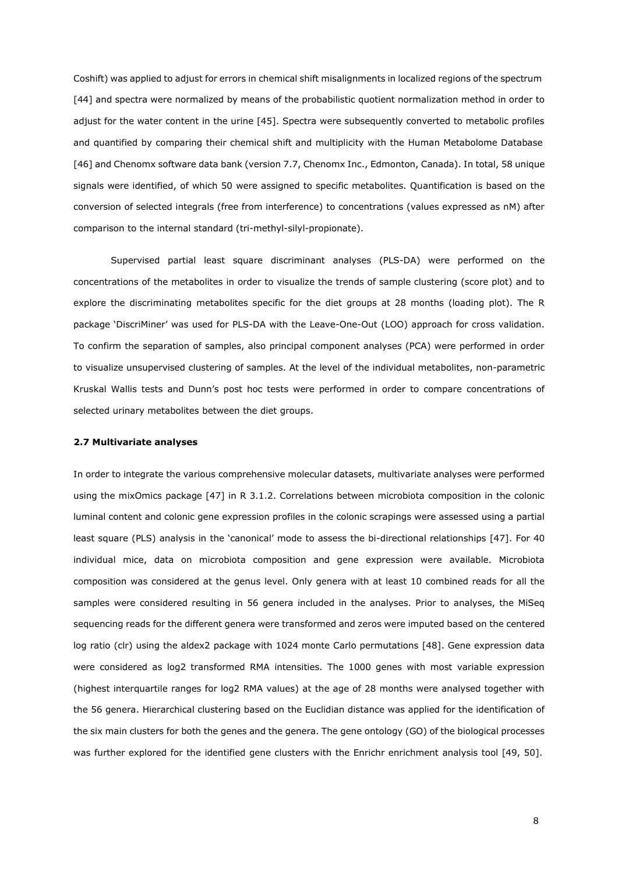Coshift) was applied to adjust for errors in chemical shift misalignments in localized regions of the spectrum [44] and spectra were normalized by means of the probabilistic quotient normalization method in order to adjust for the water content in the urine [45]. Spectra were subsequently converted to metabolic profiles and quantified by comparing their chemical shift and multiplicity with the Human Metabolome Database [46] and Chenomx software data bank (version 7.7, Chenomx Inc., Edmonton, Canada). In total, 58 unique signals were identified, of which 50 were assigned to specific metabolites. Quantification is based on the conversion of selected integrals (free from interference) to concentrations (values expressed as nM) after comparison to the internal standard (tri-methyl-silyl-propionate).

Supervised partial least square discriminant analyses (PLS-DA) were performed on the concentrations of the metabolites in order to visualize the trends of sample clustering (score plot) and to explore the discriminating metabolites specific for the diet groups at 28 months (loading plot). The R package 'DiscriMiner' was used for PLS-DA with the Leave-One-Out (LOO) approach for cross validation. To confirm the separation of samples, also principal component analyses (PCA) were performed in order to visualize unsupervised clustering of samples. At the level of the individual metabolites, non-parametric Kruskal Wallis tests and Dunn's post hoc tests were performed in order to compare concentrations of selected urinary metabolites between the diet groups.

#### **2.7 Multivariate analyses**

In order to integrate the various comprehensive molecular datasets, multivariate analyses were performed using the mixOmics package [47] in R 3.1.2. Correlations between microbiota composition in the colonic luminal content and colonic gene expression profiles in the colonic scrapings were assessed using a partial least square (PLS) analysis in the 'canonical' mode to assess the bi-directional relationships [47]. For 40 individual mice, data on microbiota composition and gene expression were available. Microbiota composition was considered at the genus level. Only genera with at least 10 combined reads for all the samples were considered resulting in 56 genera included in the analyses. Prior to analyses, the MiSeq sequencing reads for the different genera were transformed and zeros were imputed based on the centered log ratio (clr) using the aldex2 package with 1024 monte Carlo permutations [48]. Gene expression data were considered as log2 transformed RMA intensities. The 1000 genes with most variable expression (highest interquartile ranges for log2 RMA values) at the age of 28 months were analysed together with the 56 genera. Hierarchical clustering based on the Euclidian distance was applied for the identification of the six main clusters for both the genes and the genera. The gene ontology (GO) of the biological processes was further explored for the identified gene clusters with the Enrichr enrichment analysis tool [49, 50].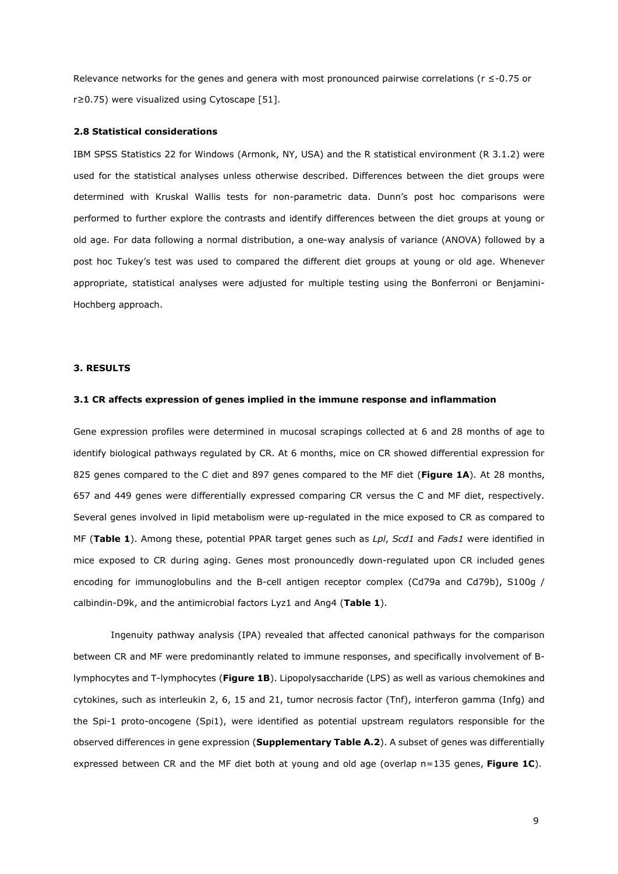Relevance networks for the genes and genera with most pronounced pairwise correlations ( $r \le -0.75$  or r≥0.75) were visualized using Cytoscape [51].

#### **2.8 Statistical considerations**

IBM SPSS Statistics 22 for Windows (Armonk, NY, USA) and the R statistical environment (R 3.1.2) were used for the statistical analyses unless otherwise described. Differences between the diet groups were determined with Kruskal Wallis tests for non-parametric data. Dunn's post hoc comparisons were performed to further explore the contrasts and identify differences between the diet groups at young or old age. For data following a normal distribution, a one-way analysis of variance (ANOVA) followed by a post hoc Tukey's test was used to compared the different diet groups at young or old age. Whenever appropriate, statistical analyses were adjusted for multiple testing using the Bonferroni or Benjamini-Hochberg approach.

# **3. RESULTS**

#### **3.1 CR affects expression of genes implied in the immune response and inflammation**

Gene expression profiles were determined in mucosal scrapings collected at 6 and 28 months of age to identify biological pathways regulated by CR. At 6 months, mice on CR showed differential expression for 825 genes compared to the C diet and 897 genes compared to the MF diet (**Figure 1A**). At 28 months, 657 and 449 genes were differentially expressed comparing CR versus the C and MF diet, respectively. Several genes involved in lipid metabolism were up-regulated in the mice exposed to CR as compared to MF (**Table 1**). Among these, potential PPAR target genes such as *Lpl*, *Scd1* and *Fads1* were identified in mice exposed to CR during aging. Genes most pronouncedly down-regulated upon CR included genes encoding for immunoglobulins and the B-cell antigen receptor complex (Cd79a and Cd79b), S100g / calbindin-D9k, and the antimicrobial factors Lyz1 and Ang4 (**Table 1**).

Ingenuity pathway analysis (IPA) revealed that affected canonical pathways for the comparison between CR and MF were predominantly related to immune responses, and specifically involvement of Blymphocytes and T-lymphocytes (**Figure 1B**). Lipopolysaccharide (LPS) as well as various chemokines and cytokines, such as interleukin 2, 6, 15 and 21, tumor necrosis factor (Tnf), interferon gamma (Infg) and the Spi-1 proto-oncogene (Spi1), were identified as potential upstream regulators responsible for the observed differences in gene expression (**Supplementary Table A.2**). A subset of genes was differentially expressed between CR and the MF diet both at young and old age (overlap n=135 genes, **Figure 1C**).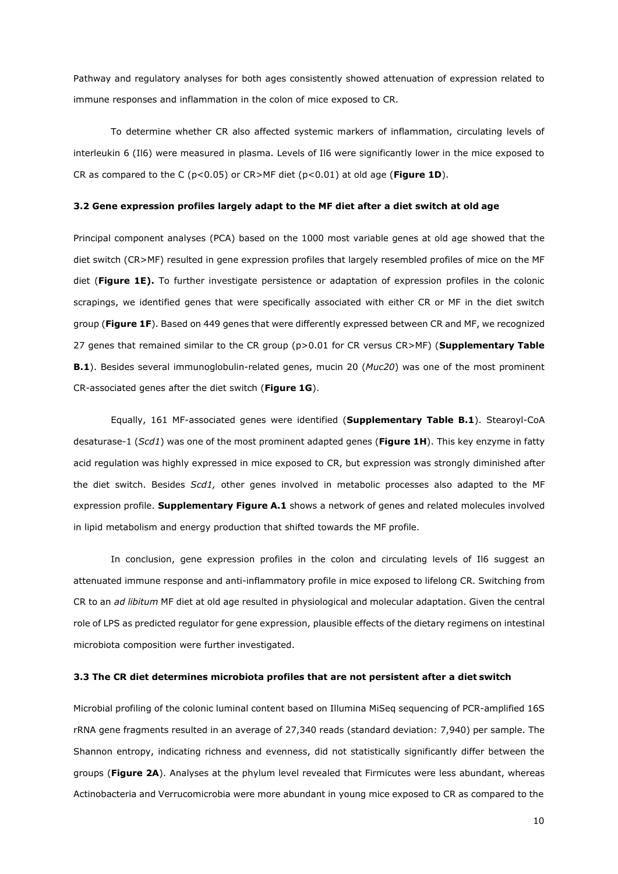Pathway and regulatory analyses for both ages consistently showed attenuation of expression related to immune responses and inflammation in the colon of mice exposed to CR.

To determine whether CR also affected systemic markers of inflammation, circulating levels of interleukin 6 (Il6) were measured in plasma. Levels of Il6 were significantly lower in the mice exposed to CR as compared to the C (p<0.05) or CR>MF diet (p<0.01) at old age (**Figure 1D**).

#### **3.2 Gene expression profiles largely adapt to the MF diet after a diet switch at old age**

Principal component analyses (PCA) based on the 1000 most variable genes at old age showed that the diet switch (CR>MF) resulted in gene expression profiles that largely resembled profiles of mice on the MF diet (**Figure 1E).** To further investigate persistence or adaptation of expression profiles in the colonic scrapings, we identified genes that were specifically associated with either CR or MF in the diet switch group (**Figure 1F**). Based on 449 genes that were differently expressed between CR and MF, we recognized 27 genes that remained similar to the CR group (p>0.01 for CR versus CR>MF) (**Supplementary Table B.1**). Besides several immunoglobulin-related genes, mucin 20 (*Muc20*) was one of the most prominent CR-associated genes after the diet switch (**Figure 1G**).

Equally, 161 MF-associated genes were identified (**Supplementary Table B.1**). Stearoyl-CoA desaturase-1 (*Scd1*) was one of the most prominent adapted genes (**Figure 1H**). This key enzyme in fatty acid regulation was highly expressed in mice exposed to CR, but expression was strongly diminished after the diet switch. Besides *Scd1,* other genes involved in metabolic processes also adapted to the MF expression profile. **Supplementary Figure A.1** shows a network of genes and related molecules involved in lipid metabolism and energy production that shifted towards the MF profile.

In conclusion, gene expression profiles in the colon and circulating levels of Il6 suggest an attenuated immune response and anti-inflammatory profile in mice exposed to lifelong CR. Switching from CR to an *ad libitum* MF diet at old age resulted in physiological and molecular adaptation. Given the central role of LPS as predicted regulator for gene expression, plausible effects of the dietary regimens on intestinal microbiota composition were further investigated.

# **3.3 The CR diet determines microbiota profiles that are not persistent after a diet switch**

Microbial profiling of the colonic luminal content based on Illumina MiSeq sequencing of PCR-amplified 16S rRNA gene fragments resulted in an average of 27,340 reads (standard deviation: 7,940) per sample. The Shannon entropy, indicating richness and evenness, did not statistically significantly differ between the groups (**Figure 2A**). Analyses at the phylum level revealed that Firmicutes were less abundant, whereas Actinobacteria and Verrucomicrobia were more abundant in young mice exposed to CR as compared to the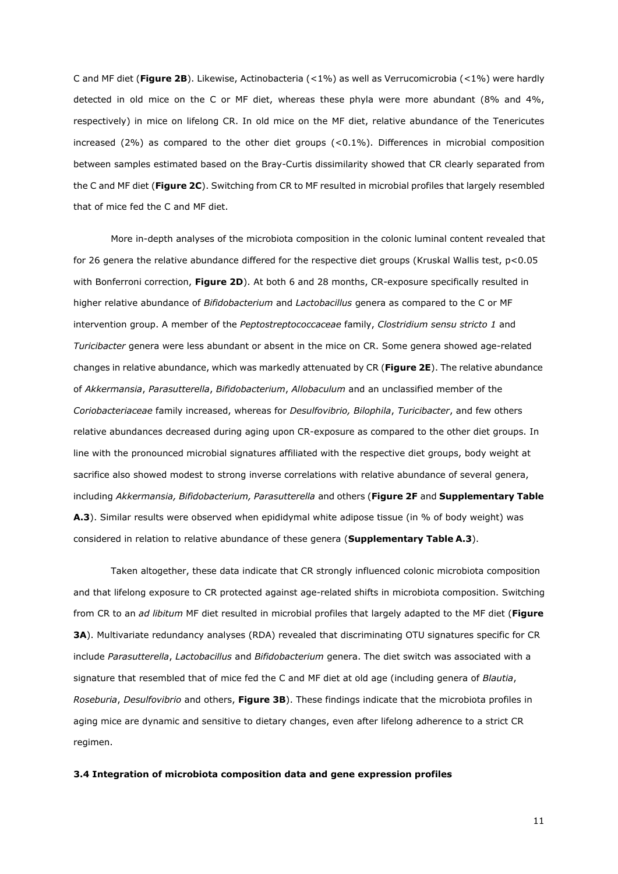C and MF diet (**Figure 2B**). Likewise, Actinobacteria (<1%) as well as Verrucomicrobia (<1%) were hardly detected in old mice on the C or MF diet, whereas these phyla were more abundant (8% and 4%, respectively) in mice on lifelong CR. In old mice on the MF diet, relative abundance of the Tenericutes increased  $(2%)$  as compared to the other diet groups  $( $0.1\%$ ).$  Differences in microbial composition between samples estimated based on the Bray-Curtis dissimilarity showed that CR clearly separated from the C and MF diet (**Figure 2C**). Switching from CR to MF resulted in microbial profiles that largely resembled that of mice fed the C and MF diet.

More in-depth analyses of the microbiota composition in the colonic luminal content revealed that for 26 genera the relative abundance differed for the respective diet groups (Kruskal Wallis test, p<0.05 with Bonferroni correction, **Figure 2D**). At both 6 and 28 months, CR-exposure specifically resulted in higher relative abundance of *Bifidobacterium* and *Lactobacillus* genera as compared to the C or MF intervention group. A member of the *Peptostreptococcaceae* family, *Clostridium sensu stricto 1* and *Turicibacter* genera were less abundant or absent in the mice on CR. Some genera showed age-related changes in relative abundance, which was markedly attenuated by CR (**Figure 2E**). The relative abundance of *Akkermansia*, *Parasutterella*, *Bifidobacterium*, *Allobaculum* and an unclassified member of the *Coriobacteriaceae* family increased, whereas for *Desulfovibrio, Bilophila*, *Turicibacter*, and few others relative abundances decreased during aging upon CR-exposure as compared to the other diet groups. In line with the pronounced microbial signatures affiliated with the respective diet groups, body weight at sacrifice also showed modest to strong inverse correlations with relative abundance of several genera, including *Akkermansia, Bifidobacterium, Parasutterella* and others (**Figure 2F** and **Supplementary Table A.3**). Similar results were observed when epididymal white adipose tissue (in % of body weight) was considered in relation to relative abundance of these genera (**Supplementary Table A.3**).

Taken altogether, these data indicate that CR strongly influenced colonic microbiota composition and that lifelong exposure to CR protected against age-related shifts in microbiota composition. Switching from CR to an *ad libitum* MF diet resulted in microbial profiles that largely adapted to the MF diet (**Figure 3A**). Multivariate redundancy analyses (RDA) revealed that discriminating OTU signatures specific for CR include *Parasutterella*, *Lactobacillus* and *Bifidobacterium* genera. The diet switch was associated with a signature that resembled that of mice fed the C and MF diet at old age (including genera of *Blautia*, *Roseburia*, *Desulfovibrio* and others, **Figure 3B**). These findings indicate that the microbiota profiles in aging mice are dynamic and sensitive to dietary changes, even after lifelong adherence to a strict CR regimen.

#### **3.4 Integration of microbiota composition data and gene expression profiles**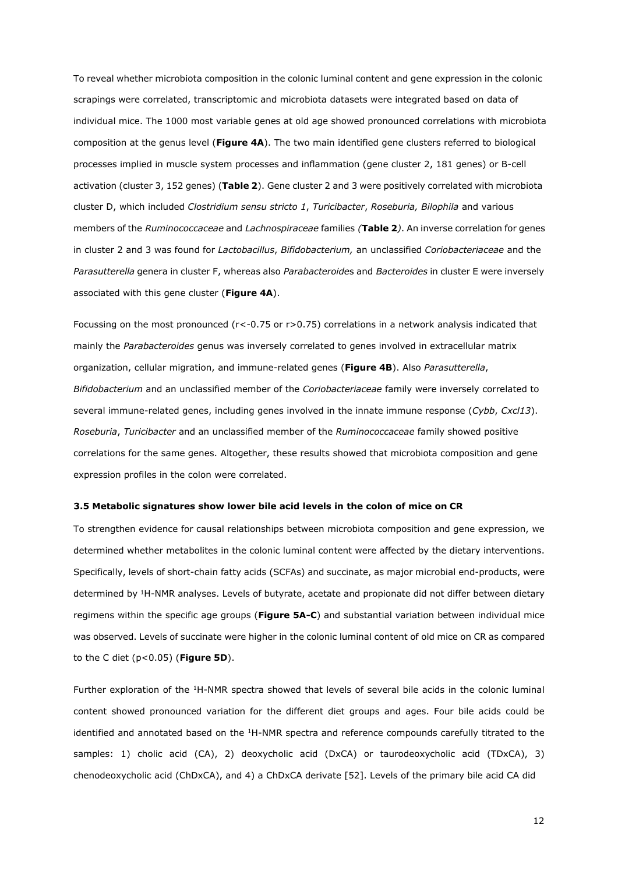To reveal whether microbiota composition in the colonic luminal content and gene expression in the colonic scrapings were correlated, transcriptomic and microbiota datasets were integrated based on data of individual mice. The 1000 most variable genes at old age showed pronounced correlations with microbiota composition at the genus level (**Figure 4A**). The two main identified gene clusters referred to biological processes implied in muscle system processes and inflammation (gene cluster 2, 181 genes) or B-cell activation (cluster 3, 152 genes) (**Table 2**). Gene cluster 2 and 3 were positively correlated with microbiota cluster D, which included *Clostridium sensu stricto 1*, *Turicibacter*, *Roseburia, Bilophila* and various members of the *Ruminococcaceae* and *Lachnospiraceae* families *(***Table 2***)*. An inverse correlation for genes in cluster 2 and 3 was found for *Lactobacillus*, *Bifidobacterium,* an unclassified *Coriobacteriaceae* and the *Parasutterella* genera in cluster F, whereas also *Parabacteroide*s and *Bacteroides* in cluster E were inversely associated with this gene cluster (**Figure 4A**).

Focussing on the most pronounced (r<-0.75 or r>0.75) correlations in a network analysis indicated that mainly the *Parabacteroides* genus was inversely correlated to genes involved in extracellular matrix organization, cellular migration, and immune-related genes (**Figure 4B**). Also *Parasutterella*, *Bifidobacterium* and an unclassified member of the *Coriobacteriaceae* family were inversely correlated to several immune-related genes, including genes involved in the innate immune response (*Cybb*, *Cxcl13*). *Roseburia*, *Turicibacter* and an unclassified member of the *Ruminococcaceae* family showed positive correlations for the same genes. Altogether, these results showed that microbiota composition and gene expression profiles in the colon were correlated.

#### **3.5 Metabolic signatures show lower bile acid levels in the colon of mice on CR**

To strengthen evidence for causal relationships between microbiota composition and gene expression, we determined whether metabolites in the colonic luminal content were affected by the dietary interventions. Specifically, levels of short-chain fatty acids (SCFAs) and succinate, as major microbial end-products, were determined by <sup>1</sup>H-NMR analyses. Levels of butyrate, acetate and propionate did not differ between dietary regimens within the specific age groups (**Figure 5A-C**) and substantial variation between individual mice was observed. Levels of succinate were higher in the colonic luminal content of old mice on CR as compared to the C diet (p<0.05) (**Figure 5D**).

Further exploration of the <sup>1</sup>H-NMR spectra showed that levels of several bile acids in the colonic luminal content showed pronounced variation for the different diet groups and ages. Four bile acids could be identified and annotated based on the <sup>1</sup>H-NMR spectra and reference compounds carefully titrated to the samples: 1) cholic acid (CA), 2) deoxycholic acid (DxCA) or taurodeoxycholic acid (TDxCA), 3) chenodeoxycholic acid (ChDxCA), and 4) a ChDxCA derivate [52]. Levels of the primary bile acid CA did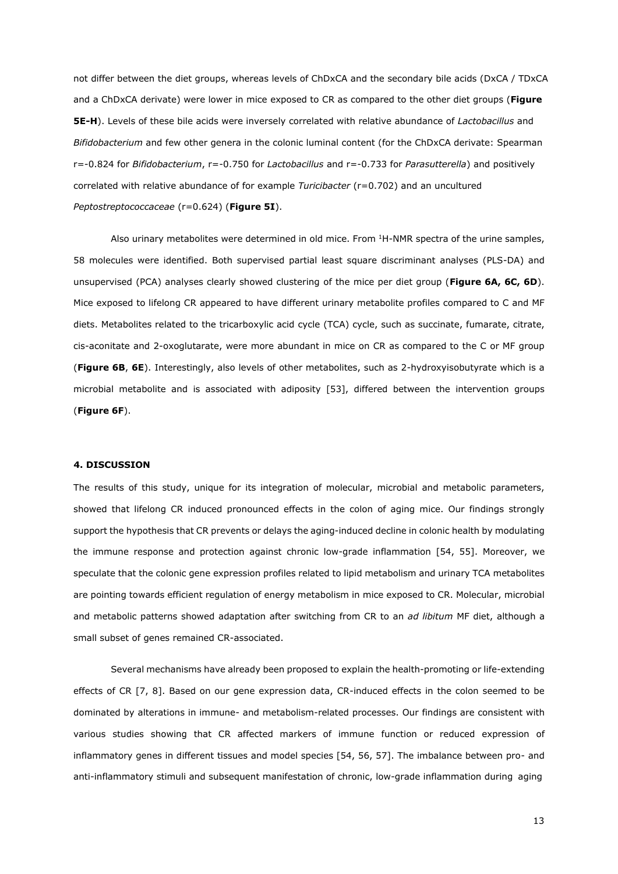not differ between the diet groups, whereas levels of ChDxCA and the secondary bile acids (DxCA / TDxCA and a ChDxCA derivate) were lower in mice exposed to CR as compared to the other diet groups (**Figure 5E-H**). Levels of these bile acids were inversely correlated with relative abundance of *Lactobacillus* and *Bifidobacterium* and few other genera in the colonic luminal content (for the ChDxCA derivate: Spearman r=-0.824 for *Bifidobacterium*, r=-0.750 for *Lactobacillus* and r=-0.733 for *Parasutterella*) and positively correlated with relative abundance of for example *Turicibacter* (r=0.702) and an uncultured *Peptostreptococcaceae* (r=0.624) (**Figure 5I**).

Also urinary metabolites were determined in old mice. From <sup>1</sup>H-NMR spectra of the urine samples, 58 molecules were identified. Both supervised partial least square discriminant analyses (PLS-DA) and unsupervised (PCA) analyses clearly showed clustering of the mice per diet group (**Figure 6A, 6C, 6D**). Mice exposed to lifelong CR appeared to have different urinary metabolite profiles compared to C and MF diets. Metabolites related to the tricarboxylic acid cycle (TCA) cycle, such as succinate, fumarate, citrate, cis-aconitate and 2-oxoglutarate, were more abundant in mice on CR as compared to the C or MF group (**Figure 6B**, **6E**). Interestingly, also levels of other metabolites, such as 2-hydroxyisobutyrate which is a microbial metabolite and is associated with adiposity [53], differed between the intervention groups (**Figure 6F**).

# **4. DISCUSSION**

The results of this study, unique for its integration of molecular, microbial and metabolic parameters, showed that lifelong CR induced pronounced effects in the colon of aging mice. Our findings strongly support the hypothesis that CR prevents or delays the aging-induced decline in colonic health by modulating the immune response and protection against chronic low-grade inflammation [54, 55]. Moreover, we speculate that the colonic gene expression profiles related to lipid metabolism and urinary TCA metabolites are pointing towards efficient regulation of energy metabolism in mice exposed to CR. Molecular, microbial and metabolic patterns showed adaptation after switching from CR to an *ad libitum* MF diet, although a small subset of genes remained CR-associated.

Several mechanisms have already been proposed to explain the health-promoting or life-extending effects of CR [7, 8]. Based on our gene expression data, CR-induced effects in the colon seemed to be dominated by alterations in immune- and metabolism-related processes. Our findings are consistent with various studies showing that CR affected markers of immune function or reduced expression of inflammatory genes in different tissues and model species [54, 56, 57]. The imbalance between pro- and anti-inflammatory stimuli and subsequent manifestation of chronic, low-grade inflammation during aging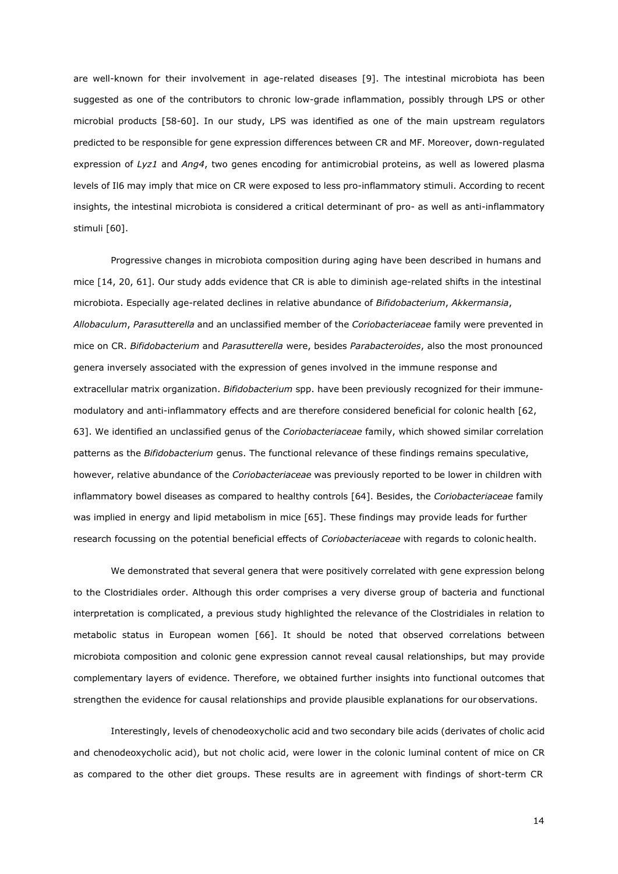are well-known for their involvement in age-related diseases [9]. The intestinal microbiota has been suggested as one of the contributors to chronic low-grade inflammation, possibly through LPS or other microbial products [58-60]. In our study, LPS was identified as one of the main upstream regulators predicted to be responsible for gene expression differences between CR and MF. Moreover, down-regulated expression of *Lyz1* and *Ang4*, two genes encoding for antimicrobial proteins, as well as lowered plasma levels of Il6 may imply that mice on CR were exposed to less pro-inflammatory stimuli. According to recent insights, the intestinal microbiota is considered a critical determinant of pro- as well as anti-inflammatory stimuli [60].

Progressive changes in microbiota composition during aging have been described in humans and mice [14, 20, 61]. Our study adds evidence that CR is able to diminish age-related shifts in the intestinal microbiota. Especially age-related declines in relative abundance of *Bifidobacterium*, *Akkermansia*, *Allobaculum*, *Parasutterella* and an unclassified member of the *Coriobacteriaceae* family were prevented in mice on CR. *Bifidobacterium* and *Parasutterella* were, besides *Parabacteroides*, also the most pronounced genera inversely associated with the expression of genes involved in the immune response and extracellular matrix organization. *Bifidobacterium* spp. have been previously recognized for their immunemodulatory and anti-inflammatory effects and are therefore considered beneficial for colonic health [62, 63]. We identified an unclassified genus of the *Coriobacteriaceae* family, which showed similar correlation patterns as the *Bifidobacterium* genus. The functional relevance of these findings remains speculative, however, relative abundance of the *Coriobacteriaceae* was previously reported to be lower in children with inflammatory bowel diseases as compared to healthy controls [64]. Besides, the *Coriobacteriaceae* family was implied in energy and lipid metabolism in mice [65]. These findings may provide leads for further research focussing on the potential beneficial effects of *Coriobacteriaceae* with regards to colonic health.

We demonstrated that several genera that were positively correlated with gene expression belong to the Clostridiales order. Although this order comprises a very diverse group of bacteria and functional interpretation is complicated, a previous study highlighted the relevance of the Clostridiales in relation to metabolic status in European women [66]. It should be noted that observed correlations between microbiota composition and colonic gene expression cannot reveal causal relationships, but may provide complementary layers of evidence. Therefore, we obtained further insights into functional outcomes that strengthen the evidence for causal relationships and provide plausible explanations for our observations.

Interestingly, levels of chenodeoxycholic acid and two secondary bile acids (derivates of cholic acid and chenodeoxycholic acid), but not cholic acid, were lower in the colonic luminal content of mice on CR as compared to the other diet groups. These results are in agreement with findings of short-term CR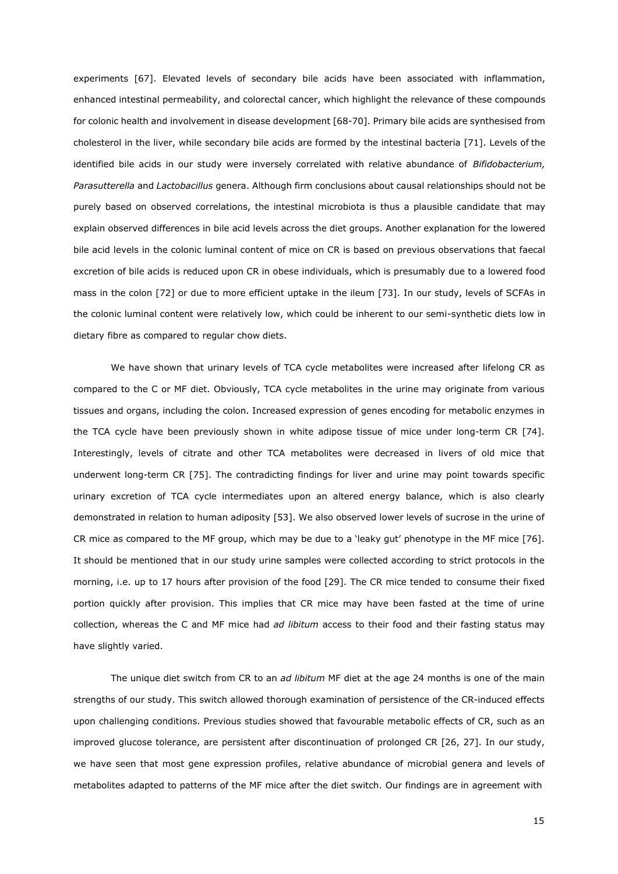experiments [67]. Elevated levels of secondary bile acids have been associated with inflammation, enhanced intestinal permeability, and colorectal cancer, which highlight the relevance of these compounds for colonic health and involvement in disease development [68-70]. Primary bile acids are synthesised from cholesterol in the liver, while secondary bile acids are formed by the intestinal bacteria [71]. Levels of the identified bile acids in our study were inversely correlated with relative abundance of *Bifidobacterium, Parasutterella* and *Lactobacillus* genera. Although firm conclusions about causal relationships should not be purely based on observed correlations, the intestinal microbiota is thus a plausible candidate that may explain observed differences in bile acid levels across the diet groups. Another explanation for the lowered bile acid levels in the colonic luminal content of mice on CR is based on previous observations that faecal excretion of bile acids is reduced upon CR in obese individuals, which is presumably due to a lowered food mass in the colon [72] or due to more efficient uptake in the ileum [73]. In our study, levels of SCFAs in the colonic luminal content were relatively low, which could be inherent to our semi-synthetic diets low in dietary fibre as compared to regular chow diets.

We have shown that urinary levels of TCA cycle metabolites were increased after lifelong CR as compared to the C or MF diet. Obviously, TCA cycle metabolites in the urine may originate from various tissues and organs, including the colon. Increased expression of genes encoding for metabolic enzymes in the TCA cycle have been previously shown in white adipose tissue of mice under long-term CR [74]. Interestingly, levels of citrate and other TCA metabolites were decreased in livers of old mice that underwent long-term CR [75]. The contradicting findings for liver and urine may point towards specific urinary excretion of TCA cycle intermediates upon an altered energy balance, which is also clearly demonstrated in relation to human adiposity [53]. We also observed lower levels of sucrose in the urine of CR mice as compared to the MF group, which may be due to a 'leaky gut' phenotype in the MF mice [76]. It should be mentioned that in our study urine samples were collected according to strict protocols in the morning, i.e. up to 17 hours after provision of the food [29]. The CR mice tended to consume their fixed portion quickly after provision. This implies that CR mice may have been fasted at the time of urine collection, whereas the C and MF mice had *ad libitum* access to their food and their fasting status may have slightly varied.

The unique diet switch from CR to an *ad libitum* MF diet at the age 24 months is one of the main strengths of our study. This switch allowed thorough examination of persistence of the CR-induced effects upon challenging conditions. Previous studies showed that favourable metabolic effects of CR, such as an improved glucose tolerance, are persistent after discontinuation of prolonged CR [26, 27]. In our study, we have seen that most gene expression profiles, relative abundance of microbial genera and levels of metabolites adapted to patterns of the MF mice after the diet switch. Our findings are in agreement with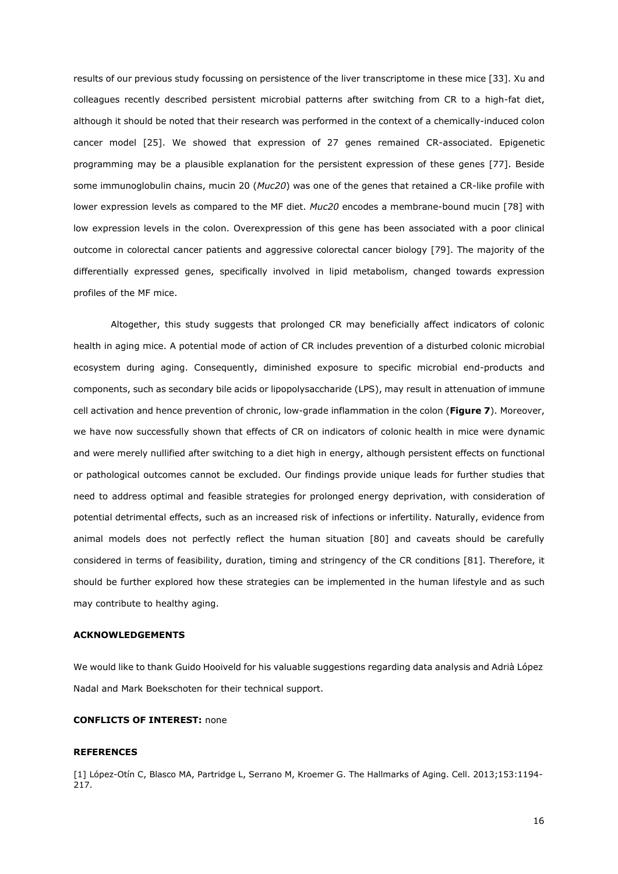results of our previous study focussing on persistence of the liver transcriptome in these mice [33]. Xu and colleagues recently described persistent microbial patterns after switching from CR to a high-fat diet, although it should be noted that their research was performed in the context of a chemically-induced colon cancer model [25]. We showed that expression of 27 genes remained CR-associated. Epigenetic programming may be a plausible explanation for the persistent expression of these genes [77]. Beside some immunoglobulin chains, mucin 20 (*Muc20*) was one of the genes that retained a CR-like profile with lower expression levels as compared to the MF diet. *Muc20* encodes a membrane-bound mucin [78] with low expression levels in the colon. Overexpression of this gene has been associated with a poor clinical outcome in colorectal cancer patients and aggressive colorectal cancer biology [79]. The majority of the differentially expressed genes, specifically involved in lipid metabolism, changed towards expression profiles of the MF mice.

Altogether, this study suggests that prolonged CR may beneficially affect indicators of colonic health in aging mice. A potential mode of action of CR includes prevention of a disturbed colonic microbial ecosystem during aging. Consequently, diminished exposure to specific microbial end-products and components, such as secondary bile acids or lipopolysaccharide (LPS), may result in attenuation of immune cell activation and hence prevention of chronic, low-grade inflammation in the colon (**Figure 7**). Moreover, we have now successfully shown that effects of CR on indicators of colonic health in mice were dynamic and were merely nullified after switching to a diet high in energy, although persistent effects on functional or pathological outcomes cannot be excluded. Our findings provide unique leads for further studies that need to address optimal and feasible strategies for prolonged energy deprivation, with consideration of potential detrimental effects, such as an increased risk of infections or infertility. Naturally, evidence from animal models does not perfectly reflect the human situation [80] and caveats should be carefully considered in terms of feasibility, duration, timing and stringency of the CR conditions [81]. Therefore, it should be further explored how these strategies can be implemented in the human lifestyle and as such may contribute to healthy aging.

# **ACKNOWLEDGEMENTS**

We would like to thank Guido Hooiveld for his valuable suggestions regarding data analysis and Adrià López Nadal and Mark Boekschoten for their technical support.

# **CONFLICTS OF INTEREST:** none

## **REFERENCES**

[1] López-Otín C, Blasco MA, Partridge L, Serrano M, Kroemer G. The Hallmarks of Aging. Cell. 2013;153:1194- 217.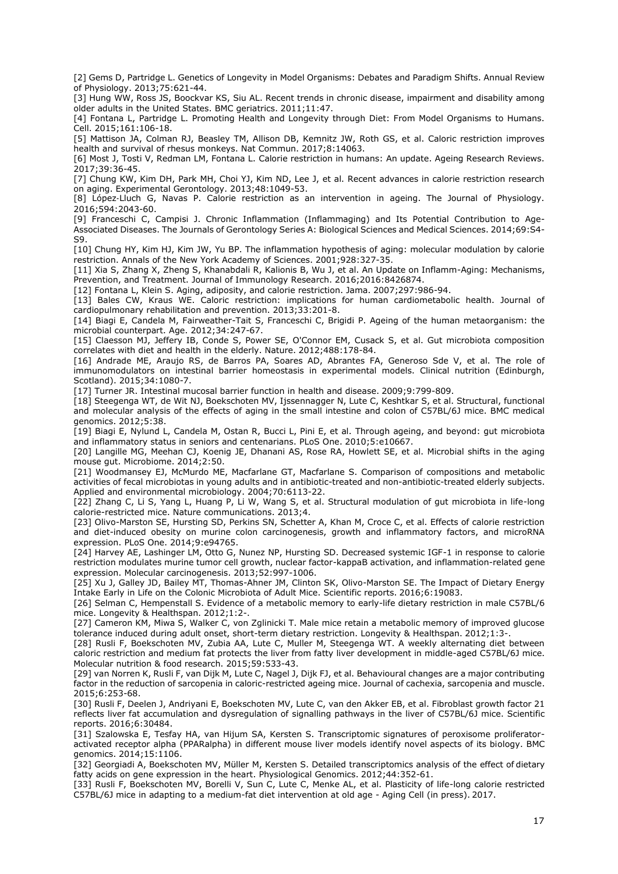[2] Gems D, Partridge L. Genetics of Longevity in Model Organisms: Debates and Paradigm Shifts. Annual Review of Physiology. 2013;75:621-44.

[3] Hung WW, Ross JS, Boockvar KS, Siu AL. Recent trends in chronic disease, impairment and disability among older adults in the United States. BMC geriatrics. 2011;11:47.

[4] Fontana L, Partridge L. Promoting Health and Longevity through Diet: From Model Organisms to Humans. Cell. 2015;161:106-18.

[5] Mattison JA, Colman RJ, Beasley TM, Allison DB, Kemnitz JW, Roth GS, et al. Caloric restriction improves health and survival of rhesus monkeys. Nat Commun. 2017;8:14063.

[6] Most J, Tosti V, Redman LM, Fontana L. Calorie restriction in humans: An update. Ageing Research Reviews. 2017;39:36-45.

[7] Chung KW, Kim DH, Park MH, Choi YJ, Kim ND, Lee J, et al. Recent advances in calorie restriction research on aging. Experimental Gerontology. 2013;48:1049-53.

[8] López‐Lluch G, Navas P. Calorie restriction as an intervention in ageing. The Journal of Physiology. 2016;594:2043-60.

[9] Franceschi C, Campisi J. Chronic Inflammation (Inflammaging) and Its Potential Contribution to Age-Associated Diseases. The Journals of Gerontology Series A: Biological Sciences and Medical Sciences. 2014;69:S4- S9.

[10] Chung HY, Kim HJ, Kim JW, Yu BP. The inflammation hypothesis of aging: molecular modulation by calorie restriction. Annals of the New York Academy of Sciences. 2001;928:327-35.

[11] Xia S, Zhang X, Zheng S, Khanabdali R, Kalionis B, Wu J, et al. An Update on Inflamm-Aging: Mechanisms, Prevention, and Treatment. Journal of Immunology Research. 2016;2016:8426874.

[12] Fontana L, Klein S. Aging, adiposity, and calorie restriction. Jama. 2007;297:986-94.

[13] Bales CW, Kraus WE. Caloric restriction: implications for human cardiometabolic health. Journal of cardiopulmonary rehabilitation and prevention. 2013;33:201-8.

[14] Biagi E, Candela M, Fairweather-Tait S, Franceschi C, Brigidi P. Ageing of the human metaorganism: the microbial counterpart. Age. 2012;34:247-67.

[15] Claesson MJ, Jeffery IB, Conde S, Power SE, O'Connor EM, Cusack S, et al. Gut microbiota composition correlates with diet and health in the elderly. Nature. 2012;488:178-84.

[16] Andrade ME, Araujo RS, de Barros PA, Soares AD, Abrantes FA, Generoso Sde V, et al. The role of immunomodulators on intestinal barrier homeostasis in experimental models. Clinical nutrition (Edinburgh, Scotland). 2015;34:1080-7.

[17] Turner JR. Intestinal mucosal barrier function in health and disease. 2009;9:799-809.

[18] Steegenga WT, de Wit NJ, Boekschoten MV, Ijssennagger N, Lute C, Keshtkar S, et al. Structural, functional and molecular analysis of the effects of aging in the small intestine and colon of C57BL/6J mice. BMC medical genomics. 2012;5:38.

[19] Biagi E, Nylund L, Candela M, Ostan R, Bucci L, Pini E, et al. Through ageing, and beyond: gut microbiota and inflammatory status in seniors and centenarians. PLoS One. 2010;5:e10667.

[20] Langille MG, Meehan CJ, Koenig JE, Dhanani AS, Rose RA, Howlett SE, et al. Microbial shifts in the aging mouse gut. Microbiome. 2014;2:50.

[21] Woodmansey EJ, McMurdo ME, Macfarlane GT, Macfarlane S. Comparison of compositions and metabolic activities of fecal microbiotas in young adults and in antibiotic-treated and non-antibiotic-treated elderly subjects. Applied and environmental microbiology. 2004;70:6113-22.

[22] Zhang C, Li S, Yang L, Huang P, Li W, Wang S, et al. Structural modulation of gut microbiota in life-long calorie-restricted mice. Nature communications. 2013;4.

[23] Olivo-Marston SE, Hursting SD, Perkins SN, Schetter A, Khan M, Croce C, et al. Effects of calorie restriction and diet-induced obesity on murine colon carcinogenesis, growth and inflammatory factors, and microRNA expression. PLoS One. 2014;9:e94765.

[24] Harvey AE, Lashinger LM, Otto G, Nunez NP, Hursting SD. Decreased systemic IGF-1 in response to calorie restriction modulates murine tumor cell growth, nuclear factor-kappaB activation, and inflammation-related gene expression. Molecular carcinogenesis. 2013;52:997-1006.

[25] Xu J, Galley JD, Bailey MT, Thomas-Ahner JM, Clinton SK, Olivo-Marston SE. The Impact of Dietary Energy Intake Early in Life on the Colonic Microbiota of Adult Mice. Scientific reports. 2016;6:19083.

[26] Selman C, Hempenstall S. Evidence of a metabolic memory to early-life dietary restriction in male C57BL/6 mice. Longevity & Healthspan. 2012;1:2-.

[27] Cameron KM, Miwa S, Walker C, von Zglinicki T. Male mice retain a metabolic memory of improved glucose tolerance induced during adult onset, short-term dietary restriction. Longevity & Healthspan. 2012;1:3-.

[28] Rusli F, Boekschoten MV, Zubia AA, Lute C, Muller M, Steegenga WT. A weekly alternating diet between caloric restriction and medium fat protects the liver from fatty liver development in middle-aged C57BL/6J mice. Molecular nutrition & food research. 2015;59:533-43.

[29] van Norren K, Rusli F, van Dijk M, Lute C, Nagel J, Dijk FJ, et al. Behavioural changes are a major contributing factor in the reduction of sarcopenia in caloric-restricted ageing mice. Journal of cachexia, sarcopenia and muscle. 2015;6:253-68.

[30] Rusli F, Deelen J, Andriyani E, Boekschoten MV, Lute C, van den Akker EB, et al. Fibroblast growth factor 21 reflects liver fat accumulation and dysregulation of signalling pathways in the liver of C57BL/6J mice. Scientific reports. 2016;6:30484.

[31] Szalowska E, Tesfay HA, van Hijum SA, Kersten S. Transcriptomic signatures of peroxisome proliferatoractivated receptor alpha (PPARalpha) in different mouse liver models identify novel aspects of its biology. BMC genomics. 2014;15:1106.

[32] Georgiadi A, Boekschoten MV, Müller M, Kersten S. Detailed transcriptomics analysis of the effect of dietary fatty acids on gene expression in the heart. Physiological Genomics. 2012;44:352-61.

[33] Rusli F, Boekschoten MV, Borelli V, Sun C, Lute C, Menke AL, et al. Plasticity of life-long calorie restricted C57BL/6J mice in adapting to a medium-fat diet intervention at old age - Aging Cell (in press). 2017.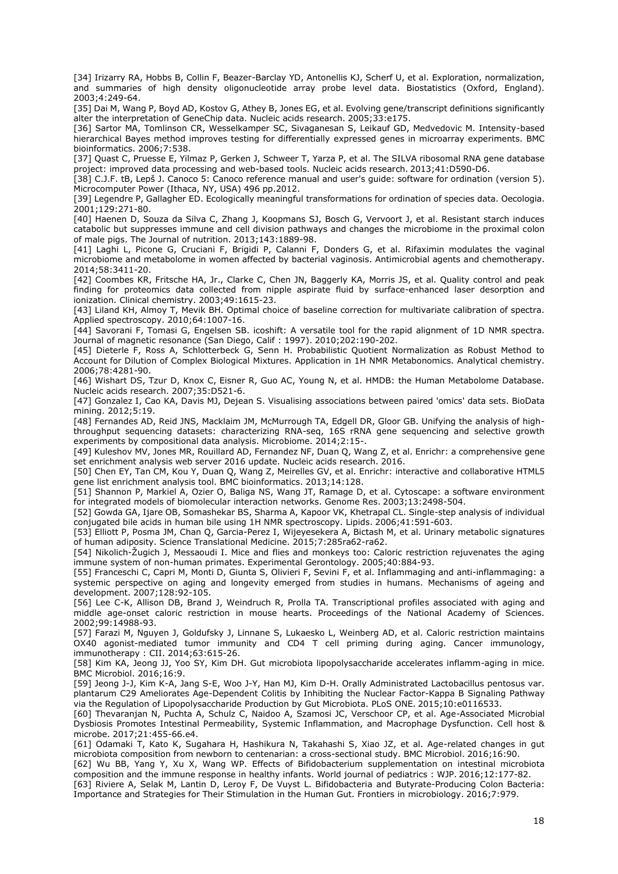[34] Irizarry RA, Hobbs B, Collin F, Beazer-Barclay YD, Antonellis KJ, Scherf U, et al. Exploration, normalization, and summaries of high density oligonucleotide array probe level data. Biostatistics (Oxford, England). 2003;4:249-64.

[35] Dai M, Wang P, Boyd AD, Kostov G, Athey B, Jones EG, et al. Evolving gene/transcript definitions significantly alter the interpretation of GeneChip data. Nucleic acids research. 2005;33:e175.

[36] Sartor MA, Tomlinson CR, Wesselkamper SC, Sivaganesan S, Leikauf GD, Medvedovic M. Intensity-based hierarchical Bayes method improves testing for differentially expressed genes in microarray experiments. BMC bioinformatics. 2006;7:538.

[37] Quast C, Pruesse E, Yilmaz P, Gerken J, Schweer T, Yarza P, et al. The SILVA ribosomal RNA gene database project: improved data processing and web-based tools. Nucleic acids research. 2013;41:D590-D6.

[38] C.J.F. tB, Lepš J. Canoco 5: Canoco reference manual and user's guide: software for ordination (version 5). Microcomputer Power (Ithaca, NY, USA) 496 pp.2012.

[39] Legendre P, Gallagher ED. Ecologically meaningful transformations for ordination of species data. Oecologia. 2001;129:271-80.

[40] Haenen D, Souza da Silva C, Zhang J, Koopmans SJ, Bosch G, Vervoort J, et al. Resistant starch induces catabolic but suppresses immune and cell division pathways and changes the microbiome in the proximal colon of male pigs. The Journal of nutrition. 2013;143:1889-98.

[41] Laghi L, Picone G, Cruciani F, Brigidi P, Calanni F, Donders G, et al. Rifaximin modulates the vaginal microbiome and metabolome in women affected by bacterial vaginosis. Antimicrobial agents and chemotherapy. 2014;58:3411-20.

[42] Coombes KR, Fritsche HA, Jr., Clarke C, Chen JN, Baggerly KA, Morris JS, et al. Quality control and peak finding for proteomics data collected from nipple aspirate fluid by surface-enhanced laser desorption and ionization. Clinical chemistry. 2003;49:1615-23.

[43] Liland KH, Almoy T, Mevik BH. Optimal choice of baseline correction for multivariate calibration of spectra. Applied spectroscopy. 2010;64:1007-16.

[44] Savorani F, Tomasi G, Engelsen SB. icoshift: A versatile tool for the rapid alignment of 1D NMR spectra. Journal of magnetic resonance (San Diego, Calif : 1997). 2010;202:190-202.

[45] Dieterle F, Ross A, Schlotterbeck G, Senn H. Probabilistic Quotient Normalization as Robust Method to Account for Dilution of Complex Biological Mixtures. Application in 1H NMR Metabonomics. Analytical chemistry. 2006;78:4281-90.

[46] Wishart DS, Tzur D, Knox C, Eisner R, Guo AC, Young N, et al. HMDB: the Human Metabolome Database. Nucleic acids research. 2007;35:D521-6.

[47] Gonzalez I, Cao KA, Davis MJ, Dejean S. Visualising associations between paired 'omics' data sets. BioData mining. 2012;5:19.

[48] Fernandes AD, Reid JNS, Macklaim JM, McMurrough TA, Edgell DR, Gloor GB. Unifying the analysis of highthroughput sequencing datasets: characterizing RNA-seq, 16S rRNA gene sequencing and selective growth experiments by compositional data analysis. Microbiome. 2014;2:15-.

[49] Kuleshov MV, Jones MR, Rouillard AD, Fernandez NF, Duan Q, Wang Z, et al. Enrichr: a comprehensive gene set enrichment analysis web server 2016 update. Nucleic acids research. 2016.

[50] Chen EY, Tan CM, Kou Y, Duan Q, Wang Z, Meirelles GV, et al. Enrichr: interactive and collaborative HTML5 gene list enrichment analysis tool. BMC bioinformatics. 2013;14:128.

[51] Shannon P, Markiel A, Ozier O, Baliga NS, Wang JT, Ramage D, et al. Cytoscape: a software environment for integrated models of biomolecular interaction networks. Genome Res. 2003;13:2498-504.

[52] Gowda GA, Ijare OB, Somashekar BS, Sharma A, Kapoor VK, Khetrapal CL. Single-step analysis of individual conjugated bile acids in human bile using 1H NMR spectroscopy. Lipids. 2006;41:591-603.

[53] Elliott P, Posma JM, Chan Q, Garcia-Perez I, Wijeyesekera A, Bictash M, et al. Urinary metabolic signatures of human adiposity. Science Translational Medicine. 2015;7:285ra62-ra62.

[54] Nikolich-Žugich J, Messaoudi I. Mice and flies and monkeys too: Caloric restriction rejuvenates the aging immune system of non-human primates. Experimental Gerontology. 2005;40:884-93.

[55] Franceschi C, Capri M, Monti D, Giunta S, Olivieri F, Sevini F, et al. Inflammaging and anti-inflammaging: a systemic perspective on aging and longevity emerged from studies in humans. Mechanisms of ageing and development. 2007;128:92-105.

[56] Lee C-K, Allison DB, Brand J, Weindruch R, Prolla TA. Transcriptional profiles associated with aging and middle age-onset caloric restriction in mouse hearts. Proceedings of the National Academy of Sciences. 2002;99:14988-93.

[57] Farazi M, Nguyen J, Goldufsky J, Linnane S, Lukaesko L, Weinberg AD, et al. Caloric restriction maintains OX40 agonist-mediated tumor immunity and CD4 T cell priming during aging. Cancer immunology, immunotherapy : CII. 2014;63:615-26.

[58] Kim KA, Jeong JJ, Yoo SY, Kim DH. Gut microbiota lipopolysaccharide accelerates inflamm-aging in mice. BMC Microbiol. 2016;16:9.

[59] Jeong J-J, Kim K-A, Jang S-E, Woo J-Y, Han MJ, Kim D-H. Orally Administrated Lactobacillus pentosus var. plantarum C29 Ameliorates Age-Dependent Colitis by Inhibiting the Nuclear Factor-Kappa B Signaling Pathway via the Regulation of Lipopolysaccharide Production by Gut Microbiota. PLoS ONE. 2015;10:e0116533.

[60] Thevaranjan N, Puchta A, Schulz C, Naidoo A, Szamosi JC, Verschoor CP, et al. Age-Associated Microbial Dysbiosis Promotes Intestinal Permeability, Systemic Inflammation, and Macrophage Dysfunction. Cell host & microbe. 2017;21:455-66.e4.

[61] Odamaki T, Kato K, Sugahara H, Hashikura N, Takahashi S, Xiao JZ, et al. Age-related changes in gut microbiota composition from newborn to centenarian: a cross-sectional study. BMC Microbiol. 2016;16:90.

[62] Wu BB, Yang Y, Xu X, Wang WP. Effects of Bifidobacterium supplementation on intestinal microbiota composition and the immune response in healthy infants. World journal of pediatrics : WJP. 2016;12:177-82.

[63] Riviere A, Selak M, Lantin D, Leroy F, De Vuyst L. Bifidobacteria and Butyrate-Producing Colon Bacteria: Importance and Strategies for Their Stimulation in the Human Gut. Frontiers in microbiology. 2016;7:979.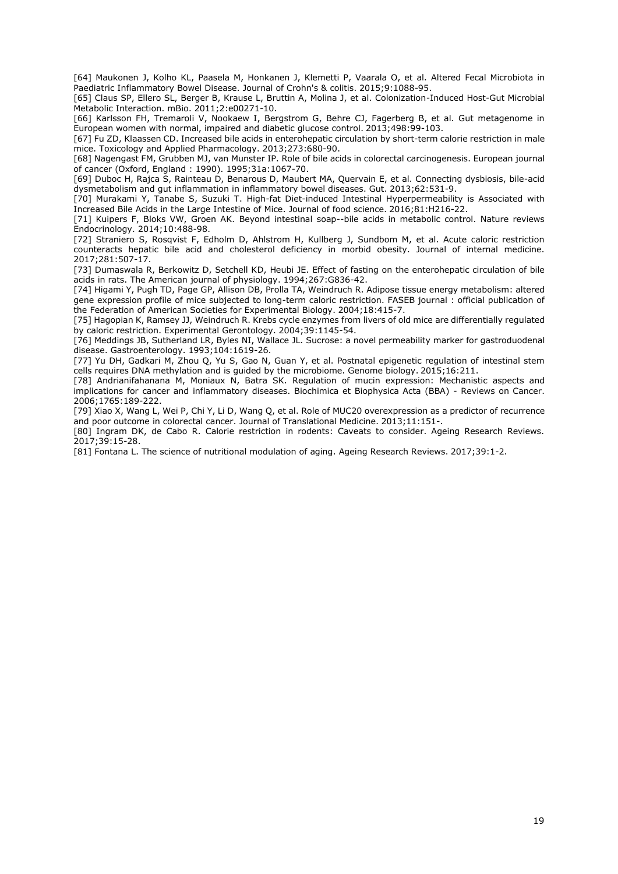[64] Maukonen J, Kolho KL, Paasela M, Honkanen J, Klemetti P, Vaarala O, et al. Altered Fecal Microbiota in Paediatric Inflammatory Bowel Disease. Journal of Crohn's & colitis. 2015;9:1088-95.

[65] Claus SP, Ellero SL, Berger B, Krause L, Bruttin A, Molina J, et al. Colonization-Induced Host-Gut Microbial Metabolic Interaction. mBio. 2011;2:e00271-10.

[66] Karlsson FH, Tremaroli V, Nookaew I, Bergstrom G, Behre CJ, Fagerberg B, et al. Gut metagenome in European women with normal, impaired and diabetic glucose control. 2013;498:99-103.

[67] Fu ZD, Klaassen CD. Increased bile acids in enterohepatic circulation by short-term calorie restriction in male mice. Toxicology and Applied Pharmacology. 2013;273:680-90.

[68] Nagengast FM, Grubben MJ, van Munster IP. Role of bile acids in colorectal carcinogenesis. European journal of cancer (Oxford, England : 1990). 1995;31a:1067-70.

[69] Duboc H, Rajca S, Rainteau D, Benarous D, Maubert MA, Quervain E, et al. Connecting dysbiosis, bile-acid dysmetabolism and gut inflammation in inflammatory bowel diseases. Gut. 2013;62:531-9.

[70] Murakami Y, Tanabe S, Suzuki T. High-fat Diet-induced Intestinal Hyperpermeability is Associated with Increased Bile Acids in the Large Intestine of Mice. Journal of food science. 2016;81:H216-22.

[71] Kuipers F, Bloks VW, Groen AK. Beyond intestinal soap--bile acids in metabolic control. Nature reviews Endocrinology. 2014;10:488-98.

[72] Straniero S, Rosqvist F, Edholm D, Ahlstrom H, Kullberg J, Sundbom M, et al. Acute caloric restriction counteracts hepatic bile acid and cholesterol deficiency in morbid obesity. Journal of internal medicine. 2017;281:507-17.

[73] Dumaswala R, Berkowitz D, Setchell KD, Heubi JE. Effect of fasting on the enterohepatic circulation of bile acids in rats. The American journal of physiology. 1994;267:G836-42.

[74] Higami Y, Pugh TD, Page GP, Allison DB, Prolla TA, Weindruch R. Adipose tissue energy metabolism: altered gene expression profile of mice subjected to long-term caloric restriction. FASEB journal : official publication of the Federation of American Societies for Experimental Biology. 2004;18:415-7.

[75] Hagopian K, Ramsey JJ, Weindruch R. Krebs cycle enzymes from livers of old mice are differentially regulated by caloric restriction. Experimental Gerontology. 2004;39:1145-54.

[76] Meddings JB, Sutherland LR, Byles NI, Wallace JL. Sucrose: a novel permeability marker for gastroduodenal disease. Gastroenterology. 1993;104:1619-26.

[77] Yu DH, Gadkari M, Zhou Q, Yu S, Gao N, Guan Y, et al. Postnatal epigenetic regulation of intestinal stem cells requires DNA methylation and is guided by the microbiome. Genome biology. 2015;16:211.

[78] Andrianifahanana M, Moniaux N, Batra SK. Regulation of mucin expression: Mechanistic aspects and implications for cancer and inflammatory diseases. Biochimica et Biophysica Acta (BBA) - Reviews on Cancer. 2006;1765:189-222.

[79] Xiao X, Wang L, Wei P, Chi Y, Li D, Wang Q, et al. Role of MUC20 overexpression as a predictor of recurrence and poor outcome in colorectal cancer. Journal of Translational Medicine. 2013;11:151-.

[80] Ingram DK, de Cabo R. Calorie restriction in rodents: Caveats to consider. Ageing Research Reviews. 2017;39:15-28.

[81] Fontana L. The science of nutritional modulation of aging. Ageing Research Reviews. 2017;39:1-2.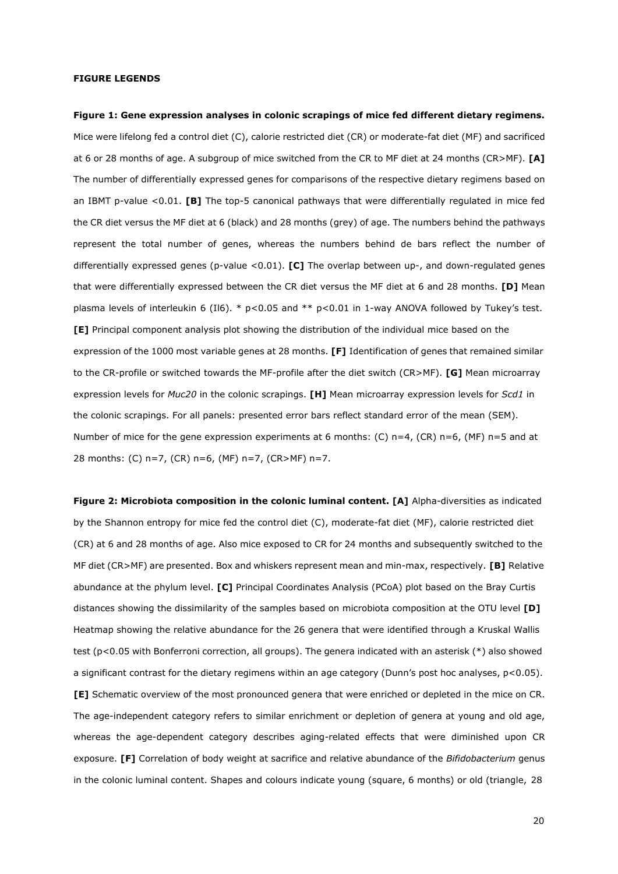#### **FIGURE LEGENDS**

**Figure 1: Gene expression analyses in colonic scrapings of mice fed different dietary regimens.**  Mice were lifelong fed a control diet (C), calorie restricted diet (CR) or moderate-fat diet (MF) and sacrificed at 6 or 28 months of age. A subgroup of mice switched from the CR to MF diet at 24 months (CR>MF). **[A]**  The number of differentially expressed genes for comparisons of the respective dietary regimens based on an IBMT p-value <0.01. **[B]** The top-5 canonical pathways that were differentially regulated in mice fed the CR diet versus the MF diet at 6 (black) and 28 months (grey) of age. The numbers behind the pathways represent the total number of genes, whereas the numbers behind de bars reflect the number of differentially expressed genes (p-value <0.01). **[C]** The overlap between up-, and down-regulated genes that were differentially expressed between the CR diet versus the MF diet at 6 and 28 months. **[D]** Mean plasma levels of interleukin 6 (Il6). \* p<0.05 and \*\* p<0.01 in 1-way ANOVA followed by Tukey's test. **[E]** Principal component analysis plot showing the distribution of the individual mice based on the expression of the 1000 most variable genes at 28 months. **[F]** Identification of genes that remained similar to the CR-profile or switched towards the MF-profile after the diet switch (CR>MF). **[G]** Mean microarray expression levels for *Muc20* in the colonic scrapings. **[H]** Mean microarray expression levels for *Scd1* in the colonic scrapings. For all panels: presented error bars reflect standard error of the mean (SEM). Number of mice for the gene expression experiments at 6 months: (C) n=4, (CR) n=6, (MF) n=5 and at 28 months: (C) n=7, (CR) n=6, (MF) n=7, (CR>MF) n=7.

**Figure 2: Microbiota composition in the colonic luminal content. [A]** Alpha-diversities as indicated by the Shannon entropy for mice fed the control diet (C), moderate-fat diet (MF), calorie restricted diet (CR) at 6 and 28 months of age. Also mice exposed to CR for 24 months and subsequently switched to the MF diet (CR>MF) are presented. Box and whiskers represent mean and min-max, respectively. **[B]** Relative abundance at the phylum level. **[C]** Principal Coordinates Analysis (PCoA) plot based on the Bray Curtis distances showing the dissimilarity of the samples based on microbiota composition at the OTU level **[D]**  Heatmap showing the relative abundance for the 26 genera that were identified through a Kruskal Wallis test (p<0.05 with Bonferroni correction, all groups). The genera indicated with an asterisk (\*) also showed a significant contrast for the dietary regimens within an age category (Dunn's post hoc analyses, p<0.05). **[E]** Schematic overview of the most pronounced genera that were enriched or depleted in the mice on CR. The age-independent category refers to similar enrichment or depletion of genera at young and old age, whereas the age-dependent category describes aging-related effects that were diminished upon CR exposure. **[F]** Correlation of body weight at sacrifice and relative abundance of the *Bifidobacterium* genus in the colonic luminal content. Shapes and colours indicate young (square, 6 months) or old (triangle, 28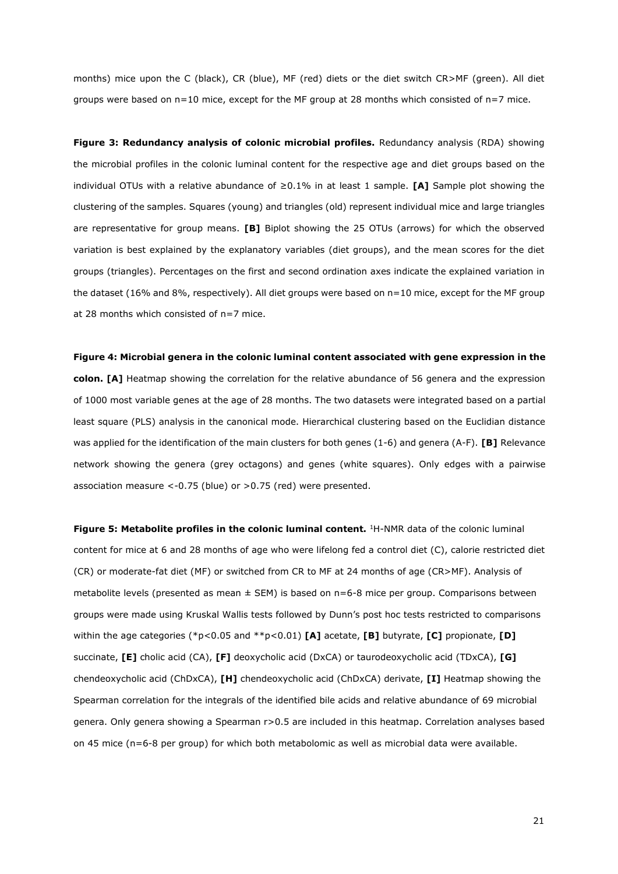months) mice upon the C (black), CR (blue), MF (red) diets or the diet switch CR>MF (green). All diet groups were based on  $n=10$  mice, except for the MF group at 28 months which consisted of  $n=7$  mice.

**Figure 3: Redundancy analysis of colonic microbial profiles.** Redundancy analysis (RDA) showing the microbial profiles in the colonic luminal content for the respective age and diet groups based on the individual OTUs with a relative abundance of ≥0.1% in at least 1 sample. **[A]** Sample plot showing the clustering of the samples. Squares (young) and triangles (old) represent individual mice and large triangles are representative for group means. **[B]** Biplot showing the 25 OTUs (arrows) for which the observed variation is best explained by the explanatory variables (diet groups), and the mean scores for the diet groups (triangles). Percentages on the first and second ordination axes indicate the explained variation in the dataset (16% and 8%, respectively). All diet groups were based on n=10 mice, except for the MF group at 28 months which consisted of n=7 mice.

# **Figure 4: Microbial genera in the colonic luminal content associated with gene expression in the**

**colon. [A]** Heatmap showing the correlation for the relative abundance of 56 genera and the expression of 1000 most variable genes at the age of 28 months. The two datasets were integrated based on a partial least square (PLS) analysis in the canonical mode. Hierarchical clustering based on the Euclidian distance was applied for the identification of the main clusters for both genes (1-6) and genera (A-F). **[B]** Relevance network showing the genera (grey octagons) and genes (white squares). Only edges with a pairwise association measure <-0.75 (blue) or >0.75 (red) were presented.

**Figure 5: Metabolite profiles in the colonic luminal content.** <sup>1</sup>H-NMR data of the colonic luminal content for mice at 6 and 28 months of age who were lifelong fed a control diet (C), calorie restricted diet (CR) or moderate-fat diet (MF) or switched from CR to MF at 24 months of age (CR>MF). Analysis of metabolite levels (presented as mean  $\pm$  SEM) is based on  $n=6-8$  mice per group. Comparisons between groups were made using Kruskal Wallis tests followed by Dunn's post hoc tests restricted to comparisons within the age categories (\*p<0.05 and \*\*p<0.01) **[A]** acetate, **[B]** butyrate, **[C]** propionate, **[D]**  succinate, **[E]** cholic acid (CA), **[F]** deoxycholic acid (DxCA) or taurodeoxycholic acid (TDxCA), **[G]**  chendeoxycholic acid (ChDxCA), **[H]** chendeoxycholic acid (ChDxCA) derivate, **[I]** Heatmap showing the Spearman correlation for the integrals of the identified bile acids and relative abundance of 69 microbial genera. Only genera showing a Spearman r>0.5 are included in this heatmap. Correlation analyses based on 45 mice (n=6-8 per group) for which both metabolomic as well as microbial data were available.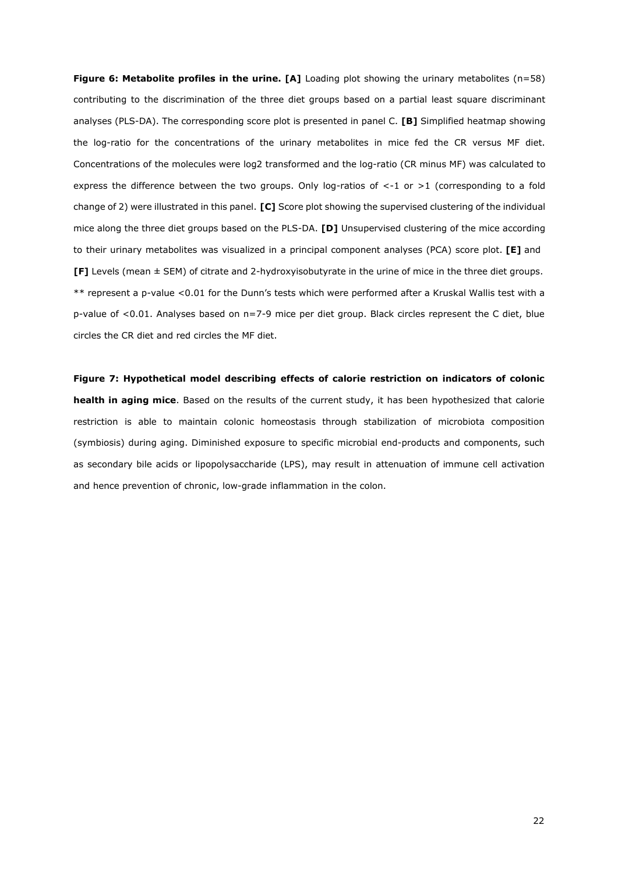**Figure 6: Metabolite profiles in the urine. [A]** Loading plot showing the urinary metabolites (n=58) contributing to the discrimination of the three diet groups based on a partial least square discriminant analyses (PLS-DA). The corresponding score plot is presented in panel C. **[B]** Simplified heatmap showing the log-ratio for the concentrations of the urinary metabolites in mice fed the CR versus MF diet. Concentrations of the molecules were log2 transformed and the log-ratio (CR minus MF) was calculated to express the difference between the two groups. Only log-ratios of <-1 or >1 (corresponding to a fold change of 2) were illustrated in this panel. **[C]** Score plot showing the supervised clustering of the individual mice along the three diet groups based on the PLS-DA. **[D]** Unsupervised clustering of the mice according to their urinary metabolites was visualized in a principal component analyses (PCA) score plot. **[E]** and **[F]** Levels (mean ± SEM) of citrate and 2-hydroxyisobutyrate in the urine of mice in the three diet groups. \*\* represent a p-value <0.01 for the Dunn's tests which were performed after a Kruskal Wallis test with a p-value of <0.01. Analyses based on n=7-9 mice per diet group. Black circles represent the C diet, blue circles the CR diet and red circles the MF diet.

**Figure 7: Hypothetical model describing effects of calorie restriction on indicators of colonic health in aging mice**. Based on the results of the current study, it has been hypothesized that calorie restriction is able to maintain colonic homeostasis through stabilization of microbiota composition (symbiosis) during aging. Diminished exposure to specific microbial end-products and components, such as secondary bile acids or lipopolysaccharide (LPS), may result in attenuation of immune cell activation and hence prevention of chronic, low-grade inflammation in the colon.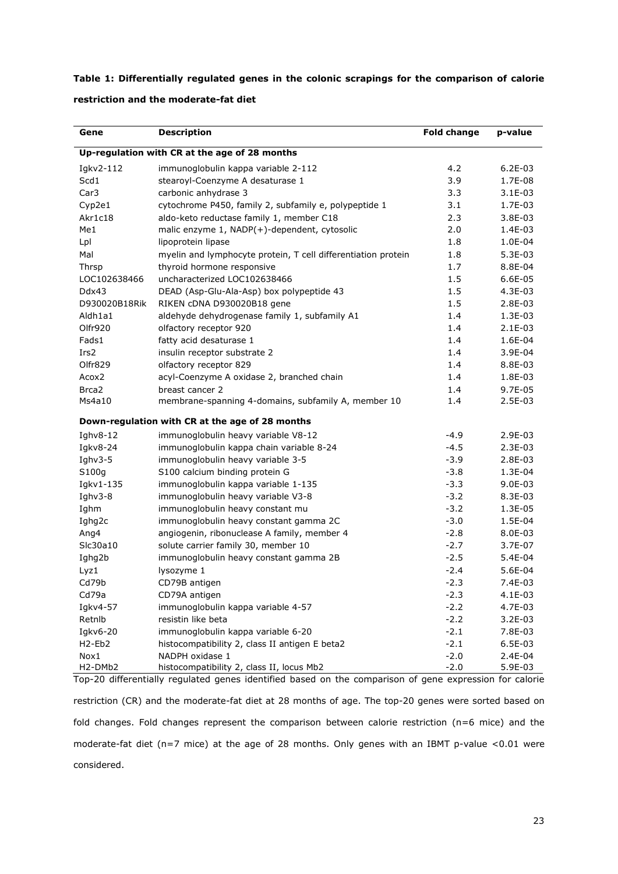**Table 1: Differentially regulated genes in the colonic scrapings for the comparison of calorie** 

| restriction and the moderate-fat diet |
|---------------------------------------|
|---------------------------------------|

| Gene                                          | <b>Description</b>                                            | <b>Fold change</b> | p-value   |  |  |  |  |  |  |
|-----------------------------------------------|---------------------------------------------------------------|--------------------|-----------|--|--|--|--|--|--|
| Up-regulation with CR at the age of 28 months |                                                               |                    |           |  |  |  |  |  |  |
| Igkv2-112                                     | immunoglobulin kappa variable 2-112                           | 4.2                | $6.2E-03$ |  |  |  |  |  |  |
| Scd1                                          | stearoyl-Coenzyme A desaturase 1                              | 3.9                | 1.7E-08   |  |  |  |  |  |  |
| Car <sub>3</sub>                              | carbonic anhydrase 3                                          | 3.3                | $3.1E-03$ |  |  |  |  |  |  |
| Cyp2e1                                        | cytochrome P450, family 2, subfamily e, polypeptide 1         | 3.1                | 1.7E-03   |  |  |  |  |  |  |
| Akr1c18                                       | aldo-keto reductase family 1, member C18                      | 2.3                | 3.8E-03   |  |  |  |  |  |  |
| Me1                                           | malic enzyme 1, NADP(+)-dependent, cytosolic                  | 2.0                | 1.4E-03   |  |  |  |  |  |  |
| Lpl                                           | lipoprotein lipase                                            | 1.8                | 1.0E-04   |  |  |  |  |  |  |
| Mal                                           | myelin and lymphocyte protein, T cell differentiation protein | 1.8                | 5.3E-03   |  |  |  |  |  |  |
| Thrsp                                         | thyroid hormone responsive                                    | 1.7                | 8.8E-04   |  |  |  |  |  |  |
| LOC102638466                                  | uncharacterized LOC102638466                                  | 1.5                | 6.6E-05   |  |  |  |  |  |  |
| Ddx43                                         | DEAD (Asp-Glu-Ala-Asp) box polypeptide 43                     | 1.5                | 4.3E-03   |  |  |  |  |  |  |
| D930020B18Rik                                 | RIKEN cDNA D930020B18 gene                                    | 1.5                | 2.8E-03   |  |  |  |  |  |  |
| Aldh1a1                                       | aldehyde dehydrogenase family 1, subfamily A1                 | 1.4                | 1.3E-03   |  |  |  |  |  |  |
| Olfr920                                       | olfactory receptor 920                                        | 1.4                | $2.1E-03$ |  |  |  |  |  |  |
| Fads1                                         | fatty acid desaturase 1                                       | 1.4                | 1.6E-04   |  |  |  |  |  |  |
| Irs <sub>2</sub>                              | insulin receptor substrate 2                                  | 1.4                | 3.9E-04   |  |  |  |  |  |  |
| Olfr829                                       | olfactory receptor 829                                        | 1.4                | 8.8E-03   |  |  |  |  |  |  |
| Acox <sub>2</sub>                             | acyl-Coenzyme A oxidase 2, branched chain                     | 1.4                | 1.8E-03   |  |  |  |  |  |  |
| Brca <sub>2</sub>                             | breast cancer 2                                               | 1.4                | 9.7E-05   |  |  |  |  |  |  |
| Ms4a10                                        | membrane-spanning 4-domains, subfamily A, member 10           | 1.4                | 2.5E-03   |  |  |  |  |  |  |
|                                               | Down-regulation with CR at the age of 28 months               |                    |           |  |  |  |  |  |  |
| Ighv8-12                                      | immunoglobulin heavy variable V8-12                           | $-4.9$             | 2.9E-03   |  |  |  |  |  |  |
| Igkv8-24                                      | immunoglobulin kappa chain variable 8-24                      | $-4.5$             | 2.3E-03   |  |  |  |  |  |  |
| Ighv3-5                                       | immunoglobulin heavy variable 3-5                             | $-3.9$             | 2.8E-03   |  |  |  |  |  |  |
| S100g                                         | S100 calcium binding protein G                                | $-3.8$             | 1.3E-04   |  |  |  |  |  |  |
| Igkv1-135                                     | immunoglobulin kappa variable 1-135                           | $-3.3$             | $9.0E-03$ |  |  |  |  |  |  |
| Ighv $3-8$                                    | immunoglobulin heavy variable V3-8                            | $-3.2$             | 8.3E-03   |  |  |  |  |  |  |
| Ighm                                          | immunoglobulin heavy constant mu                              | $-3.2$             | 1.3E-05   |  |  |  |  |  |  |
| Ighg2c                                        | immunoglobulin heavy constant gamma 2C                        | $-3.0$             | 1.5E-04   |  |  |  |  |  |  |
| Ang4                                          | angiogenin, ribonuclease A family, member 4                   | $-2.8$             | 8.0E-03   |  |  |  |  |  |  |
| Slc30a10                                      | solute carrier family 30, member 10                           | $-2.7$             | 3.7E-07   |  |  |  |  |  |  |
| Ighg2b                                        | immunoglobulin heavy constant gamma 2B                        | $-2.5$             | 5.4E-04   |  |  |  |  |  |  |
| Lyz1                                          | lysozyme 1                                                    | $-2.4$             | 5.6E-04   |  |  |  |  |  |  |
| Cd79b                                         | CD79B antigen                                                 | $-2.3$             | 7.4E-03   |  |  |  |  |  |  |
| Cd79a                                         | CD79A antigen                                                 | $-2.3$             | 4.1E-03   |  |  |  |  |  |  |
| Igkv4-57                                      | immunoglobulin kappa variable 4-57                            | $-2.2$             | 4.7E-03   |  |  |  |  |  |  |
| Retnlb                                        | resistin like beta                                            | $-2.2$             | $3.2E-03$ |  |  |  |  |  |  |
| Igkv6-20                                      | immunoglobulin kappa variable 6-20                            | $-2.1$             | 7.8E-03   |  |  |  |  |  |  |
| H <sub>2</sub> -Eb <sub>2</sub>               | histocompatibility 2, class II antigen E beta2                | $-2.1$             | 6.5E-03   |  |  |  |  |  |  |
| Nox1                                          | NADPH oxidase 1                                               | $-2.0$             | 2.4E-04   |  |  |  |  |  |  |
| H2-DMb2                                       | histocompatibility 2, class II, locus Mb2                     | $-2.0$             | 5.9E-03   |  |  |  |  |  |  |

Top-20 differentially regulated genes identified based on the comparison of gene expression for calorie restriction (CR) and the moderate-fat diet at 28 months of age. The top-20 genes were sorted based on fold changes. Fold changes represent the comparison between calorie restriction (n=6 mice) and the moderate-fat diet (n=7 mice) at the age of 28 months. Only genes with an IBMT p-value <0.01 were considered.